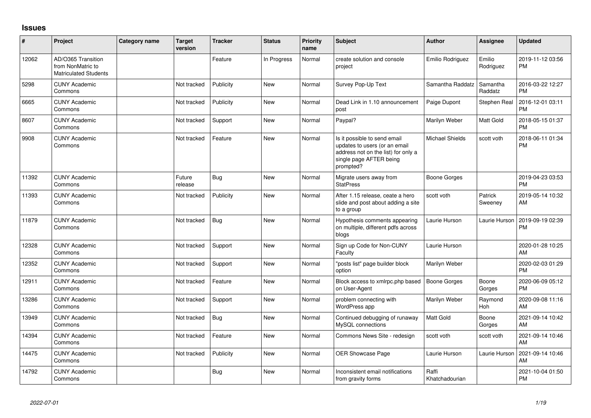## **Issues**

| #     | Project                                                                 | Category name | Target<br>version | <b>Tracker</b> | <b>Status</b> | <b>Priority</b><br>name | <b>Subject</b>                                                                                                                               | <b>Author</b>           | <b>Assignee</b>     | <b>Updated</b>                |
|-------|-------------------------------------------------------------------------|---------------|-------------------|----------------|---------------|-------------------------|----------------------------------------------------------------------------------------------------------------------------------------------|-------------------------|---------------------|-------------------------------|
| 12062 | AD/O365 Transition<br>from NonMatric to<br><b>Matriculated Students</b> |               |                   | Feature        | In Progress   | Normal                  | create solution and console<br>project                                                                                                       | Emilio Rodriguez        | Emilio<br>Rodriguez | 2019-11-12 03:56<br><b>PM</b> |
| 5298  | <b>CUNY Academic</b><br>Commons                                         |               | Not tracked       | Publicity      | <b>New</b>    | Normal                  | Survey Pop-Up Text                                                                                                                           | Samantha Raddatz        | Samantha<br>Raddatz | 2016-03-22 12:27<br><b>PM</b> |
| 6665  | <b>CUNY Academic</b><br>Commons                                         |               | Not tracked       | Publicity      | <b>New</b>    | Normal                  | Dead Link in 1.10 announcement<br>post                                                                                                       | Paige Dupont            | Stephen Real        | 2016-12-01 03:11<br><b>PM</b> |
| 8607  | <b>CUNY Academic</b><br>Commons                                         |               | Not tracked       | Support        | <b>New</b>    | Normal                  | Paypal?                                                                                                                                      | Marilyn Weber           | Matt Gold           | 2018-05-15 01:37<br><b>PM</b> |
| 9908  | <b>CUNY Academic</b><br>Commons                                         |               | Not tracked       | Feature        | <b>New</b>    | Normal                  | Is it possible to send email<br>updates to users (or an email<br>address not on the list) for only a<br>single page AFTER being<br>prompted? | <b>Michael Shields</b>  | scott voth          | 2018-06-11 01:34<br><b>PM</b> |
| 11392 | <b>CUNY Academic</b><br>Commons                                         |               | Future<br>release | Bug            | <b>New</b>    | Normal                  | Migrate users away from<br><b>StatPress</b>                                                                                                  | Boone Gorges            |                     | 2019-04-23 03:53<br><b>PM</b> |
| 11393 | <b>CUNY Academic</b><br>Commons                                         |               | Not tracked       | Publicity      | <b>New</b>    | Normal                  | After 1.15 release, ceate a hero<br>slide and post about adding a site<br>to a group                                                         | scott voth              | Patrick<br>Sweeney  | 2019-05-14 10:32<br>AM        |
| 11879 | <b>CUNY Academic</b><br>Commons                                         |               | Not tracked       | Bug            | <b>New</b>    | Normal                  | Hypothesis comments appearing<br>on multiple, different pdfs across<br>blogs                                                                 | Laurie Hurson           | Laurie Hurson       | 2019-09-19 02:39<br><b>PM</b> |
| 12328 | <b>CUNY Academic</b><br>Commons                                         |               | Not tracked       | Support        | <b>New</b>    | Normal                  | Sign up Code for Non-CUNY<br>Faculty                                                                                                         | Laurie Hurson           |                     | 2020-01-28 10:25<br><b>AM</b> |
| 12352 | <b>CUNY Academic</b><br>Commons                                         |               | Not tracked       | Support        | <b>New</b>    | Normal                  | "posts list" page builder block<br>option                                                                                                    | Marilyn Weber           |                     | 2020-02-03 01:29<br><b>PM</b> |
| 12911 | <b>CUNY Academic</b><br>Commons                                         |               | Not tracked       | Feature        | <b>New</b>    | Normal                  | Block access to xmlrpc.php based<br>on User-Agent                                                                                            | <b>Boone Gorges</b>     | Boone<br>Gorges     | 2020-06-09 05:12<br><b>PM</b> |
| 13286 | <b>CUNY Academic</b><br>Commons                                         |               | Not tracked       | Support        | <b>New</b>    | Normal                  | problem connecting with<br>WordPress app                                                                                                     | Marilyn Weber           | Raymond<br>Hoh      | 2020-09-08 11:16<br>AM        |
| 13949 | <b>CUNY Academic</b><br>Commons                                         |               | Not tracked       | Bug            | <b>New</b>    | Normal                  | Continued debugging of runaway<br>MySQL connections                                                                                          | <b>Matt Gold</b>        | Boone<br>Gorges     | 2021-09-14 10:42<br>AM        |
| 14394 | <b>CUNY Academic</b><br>Commons                                         |               | Not tracked       | Feature        | <b>New</b>    | Normal                  | Commons News Site - redesign                                                                                                                 | scott voth              | scott voth          | 2021-09-14 10:46<br>AM        |
| 14475 | <b>CUNY Academic</b><br>Commons                                         |               | Not tracked       | Publicity      | <b>New</b>    | Normal                  | OER Showcase Page                                                                                                                            | Laurie Hurson           | Laurie Hurson       | 2021-09-14 10:46<br>AM        |
| 14792 | <b>CUNY Academic</b><br>Commons                                         |               |                   | Bug            | <b>New</b>    | Normal                  | Inconsistent email notifications<br>from gravity forms                                                                                       | Raffi<br>Khatchadourian |                     | 2021-10-04 01:50<br><b>PM</b> |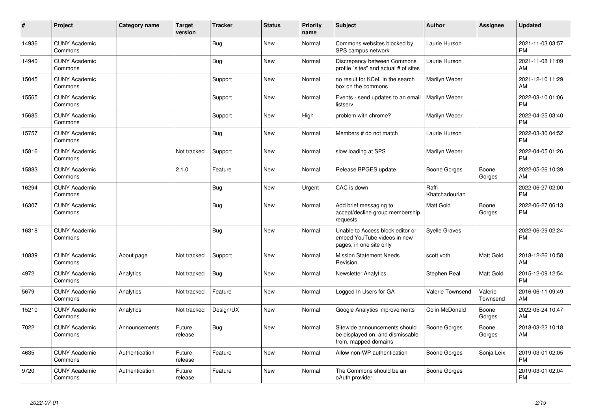| #     | Project                         | <b>Category name</b> | <b>Target</b><br>version | <b>Tracker</b> | <b>Status</b> | <b>Priority</b><br>name | <b>Subject</b>                                                                             | <b>Author</b>           | Assignee            | <b>Updated</b>                |
|-------|---------------------------------|----------------------|--------------------------|----------------|---------------|-------------------------|--------------------------------------------------------------------------------------------|-------------------------|---------------------|-------------------------------|
| 14936 | <b>CUNY Academic</b><br>Commons |                      |                          | <b>Bug</b>     | <b>New</b>    | Normal                  | Commons websites blocked by<br>SPS campus network                                          | Laurie Hurson           |                     | 2021-11-03 03:57<br><b>PM</b> |
| 14940 | <b>CUNY Academic</b><br>Commons |                      |                          | <b>Bug</b>     | <b>New</b>    | Normal                  | Discrepancy between Commons<br>profile "sites" and actual # of sites                       | Laurie Hurson           |                     | 2021-11-08 11:09<br>AM        |
| 15045 | <b>CUNY Academic</b><br>Commons |                      |                          | Support        | <b>New</b>    | Normal                  | no result for KCeL in the search<br>box on the commons                                     | Marilyn Weber           |                     | 2021-12-10 11:29<br>AM        |
| 15565 | <b>CUNY Academic</b><br>Commons |                      |                          | Support        | <b>New</b>    | Normal                  | Events - send updates to an email<br>listserv                                              | Marilyn Weber           |                     | 2022-03-10 01:06<br><b>PM</b> |
| 15685 | <b>CUNY Academic</b><br>Commons |                      |                          | Support        | <b>New</b>    | High                    | problem with chrome?                                                                       | Marilyn Weber           |                     | 2022-04-25 03:40<br><b>PM</b> |
| 15757 | <b>CUNY Academic</b><br>Commons |                      |                          | <b>Bug</b>     | <b>New</b>    | Normal                  | Members # do not match                                                                     | Laurie Hurson           |                     | 2022-03-30 04:52<br><b>PM</b> |
| 15816 | <b>CUNY Academic</b><br>Commons |                      | Not tracked              | Support        | <b>New</b>    | Normal                  | slow loading at SPS                                                                        | Marilyn Weber           |                     | 2022-04-05 01:26<br><b>PM</b> |
| 15883 | <b>CUNY Academic</b><br>Commons |                      | 2.1.0                    | Feature        | <b>New</b>    | Normal                  | Release BPGES update                                                                       | Boone Gorges            | Boone<br>Gorges     | 2022-05-26 10:39<br>AM        |
| 16294 | <b>CUNY Academic</b><br>Commons |                      |                          | <b>Bug</b>     | <b>New</b>    | Urgent                  | CAC is down                                                                                | Raffi<br>Khatchadourian |                     | 2022-06-27 02:00<br><b>PM</b> |
| 16307 | <b>CUNY Academic</b><br>Commons |                      |                          | Bug            | <b>New</b>    | Normal                  | Add brief messaging to<br>accept/decline group membership<br>requests                      | Matt Gold               | Boone<br>Gorges     | 2022-06-27 06:13<br><b>PM</b> |
| 16318 | <b>CUNY Academic</b><br>Commons |                      |                          | <b>Bug</b>     | <b>New</b>    | Normal                  | Unable to Access block editor or<br>embed YouTube videos in new<br>pages, in one site only | Syelle Graves           |                     | 2022-06-29 02:24<br><b>PM</b> |
| 10839 | <b>CUNY Academic</b><br>Commons | About page           | Not tracked              | Support        | <b>New</b>    | Normal                  | <b>Mission Statement Needs</b><br>Revision                                                 | scott voth              | Matt Gold           | 2018-12-26 10:58<br>AM        |
| 4972  | <b>CUNY Academic</b><br>Commons | Analytics            | Not tracked              | Bug            | <b>New</b>    | Normal                  | <b>Newsletter Analytics</b>                                                                | Stephen Real            | Matt Gold           | 2015-12-09 12:54<br><b>PM</b> |
| 5679  | <b>CUNY Academic</b><br>Commons | Analytics            | Not tracked              | Feature        | <b>New</b>    | Normal                  | Logged In Users for GA                                                                     | Valerie Townsend        | Valerie<br>Townsend | 2016-06-11 09:49<br>AM        |
| 15210 | <b>CUNY Academic</b><br>Commons | Analytics            | Not tracked              | Design/UX      | New           | Normal                  | Google Analytics improvements                                                              | Colin McDonald          | Boone<br>Gorges     | 2022-05-24 10:47<br>AM        |
| 7022  | <b>CUNY Academic</b><br>Commons | Announcements        | Future<br>release        | Bug            | <b>New</b>    | Normal                  | Sitewide announcements should<br>be displayed on, and dismissable<br>from, mapped domains  | Boone Gorges            | Boone<br>Gorges     | 2018-03-22 10:18<br>AM        |
| 4635  | <b>CUNY Academic</b><br>Commons | Authentication       | Future<br>release        | Feature        | <b>New</b>    | Normal                  | Allow non-WP authentication                                                                | Boone Gorges            | Sonja Leix          | 2019-03-01 02:05<br><b>PM</b> |
| 9720  | <b>CUNY Academic</b><br>Commons | Authentication       | Future<br>release        | Feature        | <b>New</b>    | Normal                  | The Commons should be an<br>oAuth provider                                                 | Boone Gorges            |                     | 2019-03-01 02:04<br><b>PM</b> |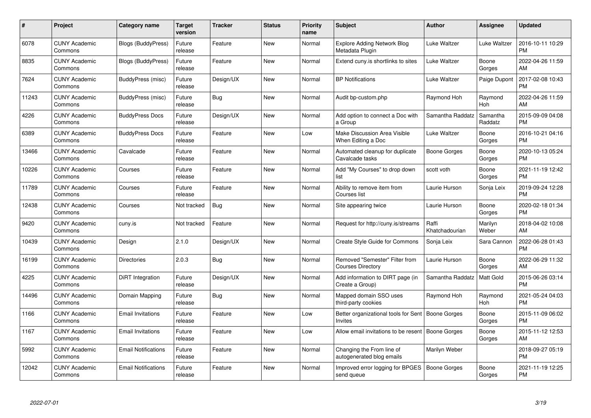| #     | Project                         | <b>Category name</b>       | Target<br>version | <b>Tracker</b> | <b>Status</b> | Priority<br>name | <b>Subject</b>                                                        | <b>Author</b>           | <b>Assignee</b>     | <b>Updated</b>                |
|-------|---------------------------------|----------------------------|-------------------|----------------|---------------|------------------|-----------------------------------------------------------------------|-------------------------|---------------------|-------------------------------|
| 6078  | <b>CUNY Academic</b><br>Commons | <b>Blogs (BuddyPress)</b>  | Future<br>release | Feature        | <b>New</b>    | Normal           | <b>Explore Adding Network Blog</b><br>Metadata Plugin                 | Luke Waltzer            | Luke Waltzer        | 2016-10-11 10:29<br><b>PM</b> |
| 8835  | <b>CUNY Academic</b><br>Commons | <b>Blogs (BuddyPress)</b>  | Future<br>release | Feature        | <b>New</b>    | Normal           | Extend cuny. is shortlinks to sites                                   | Luke Waltzer            | Boone<br>Gorges     | 2022-04-26 11:59<br>AM        |
| 7624  | <b>CUNY Academic</b><br>Commons | BuddyPress (misc)          | Future<br>release | Design/UX      | <b>New</b>    | Normal           | <b>BP Notifications</b>                                               | Luke Waltzer            | Paige Dupont        | 2017-02-08 10:43<br><b>PM</b> |
| 11243 | <b>CUNY Academic</b><br>Commons | BuddyPress (misc)          | Future<br>release | Bug            | <b>New</b>    | Normal           | Audit bp-custom.php                                                   | Raymond Hoh             | Raymond<br>Hoh      | 2022-04-26 11:59<br>AM        |
| 4226  | <b>CUNY Academic</b><br>Commons | <b>BuddyPress Docs</b>     | Future<br>release | Design/UX      | <b>New</b>    | Normal           | Add option to connect a Doc with<br>a Group                           | Samantha Raddatz        | Samantha<br>Raddatz | 2015-09-09 04:08<br><b>PM</b> |
| 6389  | <b>CUNY Academic</b><br>Commons | <b>BuddyPress Docs</b>     | Future<br>release | Feature        | <b>New</b>    | Low              | Make Discussion Area Visible<br>When Editing a Doc                    | Luke Waltzer            | Boone<br>Gorges     | 2016-10-21 04:16<br><b>PM</b> |
| 13466 | <b>CUNY Academic</b><br>Commons | Cavalcade                  | Future<br>release | Feature        | <b>New</b>    | Normal           | Automated cleanup for duplicate<br>Cavalcade tasks                    | Boone Gorges            | Boone<br>Gorges     | 2020-10-13 05:24<br><b>PM</b> |
| 10226 | <b>CUNY Academic</b><br>Commons | Courses                    | Future<br>release | Feature        | New           | Normal           | Add "My Courses" to drop down<br>list                                 | scott voth              | Boone<br>Gorges     | 2021-11-19 12:42<br><b>PM</b> |
| 11789 | <b>CUNY Academic</b><br>Commons | Courses                    | Future<br>release | Feature        | New           | Normal           | Ability to remove item from<br>Courses list                           | Laurie Hurson           | Sonja Leix          | 2019-09-24 12:28<br><b>PM</b> |
| 12438 | <b>CUNY Academic</b><br>Commons | Courses                    | Not tracked       | Bug            | <b>New</b>    | Normal           | Site appearing twice                                                  | Laurie Hurson           | Boone<br>Gorges     | 2020-02-18 01:34<br>PM        |
| 9420  | <b>CUNY Academic</b><br>Commons | cuny.is                    | Not tracked       | Feature        | New           | Normal           | Request for http://cuny.is/streams                                    | Raffi<br>Khatchadourian | Marilyn<br>Weber    | 2018-04-02 10:08<br>AM        |
| 10439 | <b>CUNY Academic</b><br>Commons | Design                     | 2.1.0             | Design/UX      | New           | Normal           | Create Style Guide for Commons                                        | Sonja Leix              | Sara Cannon         | 2022-06-28 01:43<br><b>PM</b> |
| 16199 | <b>CUNY Academic</b><br>Commons | <b>Directories</b>         | 2.0.3             | Bug            | New           | Normal           | Removed "Semester" Filter from<br><b>Courses Directory</b>            | Laurie Hurson           | Boone<br>Gorges     | 2022-06-29 11:32<br>AM.       |
| 4225  | <b>CUNY Academic</b><br>Commons | DiRT Integration           | Future<br>release | Design/UX      | New           | Normal           | Add information to DIRT page (in<br>Create a Group)                   | Samantha Raddatz        | Matt Gold           | 2015-06-26 03:14<br><b>PM</b> |
| 14496 | <b>CUNY Academic</b><br>Commons | Domain Mapping             | Future<br>release | Bug            | New           | Normal           | Mapped domain SSO uses<br>third-party cookies                         | Raymond Hoh             | Raymond<br>Hoh      | 2021-05-24 04:03<br><b>PM</b> |
| 1166  | <b>CUNY Academic</b><br>Commons | <b>Email Invitations</b>   | Future<br>release | Feature        | New           | Low              | Better organizational tools for Sent   Boone Gorges<br><b>Invites</b> |                         | Boone<br>Gorges     | 2015-11-09 06:02<br><b>PM</b> |
| 1167  | <b>CUNY Academic</b><br>Commons | <b>Email Invitations</b>   | Future<br>release | Feature        | New           | Low              | Allow email invitations to be resent                                  | Boone Gorges            | Boone<br>Gorges     | 2015-11-12 12:53<br>AM        |
| 5992  | <b>CUNY Academic</b><br>Commons | <b>Email Notifications</b> | Future<br>release | Feature        | New           | Normal           | Changing the From line of<br>autogenerated blog emails                | Marilyn Weber           |                     | 2018-09-27 05:19<br><b>PM</b> |
| 12042 | <b>CUNY Academic</b><br>Commons | <b>Email Notifications</b> | Future<br>release | Feature        | <b>New</b>    | Normal           | Improved error logging for BPGES<br>send queue                        | Boone Gorges            | Boone<br>Gorges     | 2021-11-19 12:25<br>PM        |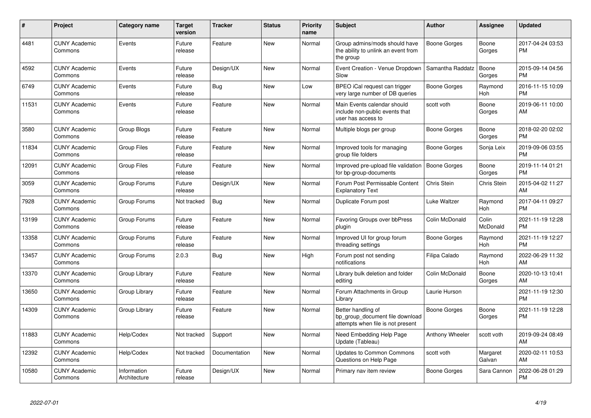| #     | <b>Project</b>                  | Category name               | <b>Target</b><br>version | <b>Tracker</b> | <b>Status</b> | <b>Priority</b><br>name | <b>Subject</b>                                                                             | Author              | <b>Assignee</b>    | <b>Updated</b>                |
|-------|---------------------------------|-----------------------------|--------------------------|----------------|---------------|-------------------------|--------------------------------------------------------------------------------------------|---------------------|--------------------|-------------------------------|
| 4481  | <b>CUNY Academic</b><br>Commons | Events                      | Future<br>release        | Feature        | <b>New</b>    | Normal                  | Group admins/mods should have<br>the ability to unlink an event from<br>the group          | <b>Boone Gorges</b> | Boone<br>Gorges    | 2017-04-24 03:53<br><b>PM</b> |
| 4592  | <b>CUNY Academic</b><br>Commons | Events                      | Future<br>release        | Design/UX      | <b>New</b>    | Normal                  | Event Creation - Venue Dropdown<br>Slow                                                    | Samantha Raddatz    | Boone<br>Gorges    | 2015-09-14 04:56<br><b>PM</b> |
| 6749  | <b>CUNY Academic</b><br>Commons | Events                      | Future<br>release        | <b>Bug</b>     | <b>New</b>    | Low                     | BPEO iCal request can trigger<br>very large number of DB queries                           | Boone Gorges        | Raymond<br>Hoh     | 2016-11-15 10:09<br><b>PM</b> |
| 11531 | <b>CUNY Academic</b><br>Commons | Events                      | Future<br>release        | Feature        | New           | Normal                  | Main Events calendar should<br>include non-public events that<br>user has access to        | scott voth          | Boone<br>Gorges    | 2019-06-11 10:00<br>AM        |
| 3580  | <b>CUNY Academic</b><br>Commons | Group Blogs                 | Future<br>release        | Feature        | <b>New</b>    | Normal                  | Multiple blogs per group                                                                   | Boone Gorges        | Boone<br>Gorges    | 2018-02-20 02:02<br><b>PM</b> |
| 11834 | <b>CUNY Academic</b><br>Commons | <b>Group Files</b>          | Future<br>release        | Feature        | <b>New</b>    | Normal                  | Improved tools for managing<br>group file folders                                          | Boone Gorges        | Sonja Leix         | 2019-09-06 03:55<br><b>PM</b> |
| 12091 | <b>CUNY Academic</b><br>Commons | Group Files                 | Future<br>release        | Feature        | <b>New</b>    | Normal                  | Improved pre-upload file validation<br>for bp-group-documents                              | <b>Boone Gorges</b> | Boone<br>Gorges    | 2019-11-14 01:21<br><b>PM</b> |
| 3059  | <b>CUNY Academic</b><br>Commons | Group Forums                | Future<br>release        | Design/UX      | New           | Normal                  | Forum Post Permissable Content<br><b>Explanatory Text</b>                                  | Chris Stein         | Chris Stein        | 2015-04-02 11:27<br>AM        |
| 7928  | <b>CUNY Academic</b><br>Commons | Group Forums                | Not tracked              | <b>Bug</b>     | <b>New</b>    | Normal                  | Duplicate Forum post                                                                       | Luke Waltzer        | Raymond<br>Hoh     | 2017-04-11 09:27<br><b>PM</b> |
| 13199 | <b>CUNY Academic</b><br>Commons | Group Forums                | Future<br>release        | Feature        | New           | Normal                  | Favoring Groups over bbPress<br>plugin                                                     | Colin McDonald      | Colin<br>McDonald  | 2021-11-19 12:28<br><b>PM</b> |
| 13358 | <b>CUNY Academic</b><br>Commons | Group Forums                | Future<br>release        | Feature        | <b>New</b>    | Normal                  | Improved UI for group forum<br>threading settings                                          | Boone Gorges        | Raymond<br>Hoh     | 2021-11-19 12:27<br><b>PM</b> |
| 13457 | <b>CUNY Academic</b><br>Commons | Group Forums                | 2.0.3                    | Bug            | <b>New</b>    | High                    | Forum post not sending<br>notifications                                                    | Filipa Calado       | Raymond<br>Hoh     | 2022-06-29 11:32<br>AM        |
| 13370 | <b>CUNY Academic</b><br>Commons | Group Library               | Future<br>release        | Feature        | <b>New</b>    | Normal                  | Library bulk deletion and folder<br>editing                                                | Colin McDonald      | Boone<br>Gorges    | 2020-10-13 10:41<br>AM        |
| 13650 | <b>CUNY Academic</b><br>Commons | Group Library               | Future<br>release        | Feature        | <b>New</b>    | Normal                  | Forum Attachments in Group<br>Library                                                      | Laurie Hurson       |                    | 2021-11-19 12:30<br><b>PM</b> |
| 14309 | <b>CUNY Academic</b><br>Commons | Group Library               | Future<br>release        | Feature        | <b>New</b>    | Normal                  | Better handling of<br>bp_group_document file download<br>attempts when file is not present | <b>Boone Gorges</b> | Boone<br>Gorges    | 2021-11-19 12:28<br><b>PM</b> |
| 11883 | <b>CUNY Academic</b><br>Commons | Help/Codex                  | Not tracked              | Support        | <b>New</b>    | Normal                  | Need Embedding Help Page<br>Update (Tableau)                                               | Anthony Wheeler     | scott voth         | 2019-09-24 08:49<br>AM        |
| 12392 | <b>CUNY Academic</b><br>Commons | Help/Codex                  | Not tracked              | Documentation  | <b>New</b>    | Normal                  | <b>Updates to Common Commons</b><br>Questions on Help Page                                 | scott voth          | Margaret<br>Galvan | 2020-02-11 10:53<br>AM        |
| 10580 | <b>CUNY Academic</b><br>Commons | Information<br>Architecture | Future<br>release        | Design/UX      | <b>New</b>    | Normal                  | Primary nav item review                                                                    | Boone Gorges        | Sara Cannon        | 2022-06-28 01:29<br>PM        |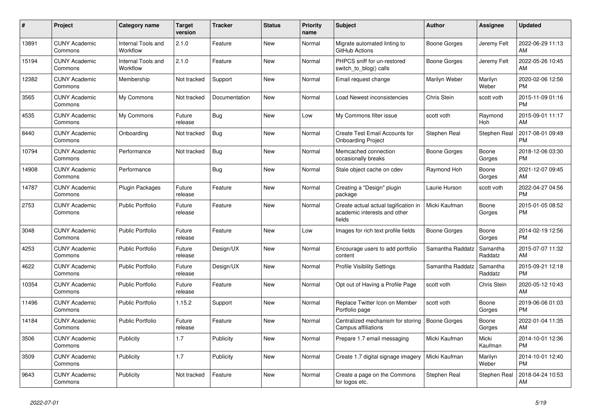| $\pmb{\#}$ | <b>Project</b>                  | Category name                  | <b>Target</b><br>version | <b>Tracker</b> | <b>Status</b> | <b>Priority</b><br>name | <b>Subject</b>                                                                 | <b>Author</b>       | Assignee            | <b>Updated</b>                |
|------------|---------------------------------|--------------------------------|--------------------------|----------------|---------------|-------------------------|--------------------------------------------------------------------------------|---------------------|---------------------|-------------------------------|
| 13891      | <b>CUNY Academic</b><br>Commons | Internal Tools and<br>Workflow | 2.1.0                    | Feature        | New           | Normal                  | Migrate automated linting to<br>GitHub Actions                                 | Boone Gorges        | Jeremy Felt         | 2022-06-29 11:13<br>AM        |
| 15194      | <b>CUNY Academic</b><br>Commons | Internal Tools and<br>Workflow | 2.1.0                    | Feature        | New           | Normal                  | PHPCS sniff for un-restored<br>switch to blog() calls                          | Boone Gorges        | Jeremy Felt         | 2022-05-26 10:45<br>AM        |
| 12382      | <b>CUNY Academic</b><br>Commons | Membership                     | Not tracked              | Support        | New           | Normal                  | Email request change                                                           | Marilyn Weber       | Marilyn<br>Weber    | 2020-02-06 12:56<br><b>PM</b> |
| 3565       | <b>CUNY Academic</b><br>Commons | My Commons                     | Not tracked              | Documentation  | <b>New</b>    | Normal                  | Load Newest inconsistencies                                                    | Chris Stein         | scott voth          | 2015-11-09 01:16<br><b>PM</b> |
| 4535       | <b>CUNY Academic</b><br>Commons | My Commons                     | Future<br>release        | Bug            | New           | Low                     | My Commons filter issue                                                        | scott voth          | Raymond<br>Hoh      | 2015-09-01 11:17<br>AM        |
| 8440       | <b>CUNY Academic</b><br>Commons | Onboarding                     | Not tracked              | Bug            | New           | Normal                  | Create Test Email Accounts for<br><b>Onboarding Project</b>                    | Stephen Real        | Stephen Real        | 2017-08-01 09:49<br><b>PM</b> |
| 10794      | <b>CUNY Academic</b><br>Commons | Performance                    | Not tracked              | <b>Bug</b>     | <b>New</b>    | Normal                  | Memcached connection<br>occasionally breaks                                    | Boone Gorges        | Boone<br>Gorges     | 2018-12-06 03:30<br><b>PM</b> |
| 14908      | <b>CUNY Academic</b><br>Commons | Performance                    |                          | <b>Bug</b>     | <b>New</b>    | Normal                  | Stale object cache on cdev                                                     | Raymond Hoh         | Boone<br>Gorges     | 2021-12-07 09:45<br>AM        |
| 14787      | <b>CUNY Academic</b><br>Commons | <b>Plugin Packages</b>         | Future<br>release        | Feature        | New           | Normal                  | Creating a "Design" plugin<br>package                                          | Laurie Hurson       | scott voth          | 2022-04-27 04:56<br><b>PM</b> |
| 2753       | <b>CUNY Academic</b><br>Commons | <b>Public Portfolio</b>        | Future<br>release        | Feature        | New           | Normal                  | Create actual actual tagification in<br>academic interests and other<br>fields | Micki Kaufman       | Boone<br>Gorges     | 2015-01-05 08:52<br><b>PM</b> |
| 3048       | <b>CUNY Academic</b><br>Commons | <b>Public Portfolio</b>        | Future<br>release        | Feature        | New           | Low                     | Images for rich text profile fields                                            | Boone Gorges        | Boone<br>Gorges     | 2014-02-19 12:56<br><b>PM</b> |
| 4253       | <b>CUNY Academic</b><br>Commons | Public Portfolio               | Future<br>release        | Design/UX      | New           | Normal                  | Encourage users to add portfolio<br>content                                    | Samantha Raddatz    | Samantha<br>Raddatz | 2015-07-07 11:32<br>AM        |
| 4622       | <b>CUNY Academic</b><br>Commons | <b>Public Portfolio</b>        | Future<br>release        | Design/UX      | <b>New</b>    | Normal                  | <b>Profile Visibility Settings</b>                                             | Samantha Raddatz    | Samantha<br>Raddatz | 2015-09-21 12:18<br><b>PM</b> |
| 10354      | <b>CUNY Academic</b><br>Commons | <b>Public Portfolio</b>        | Future<br>release        | Feature        | New           | Normal                  | Opt out of Having a Profile Page                                               | scott voth          | Chris Stein         | 2020-05-12 10:43<br>AM        |
| 11496      | <b>CUNY Academic</b><br>Commons | <b>Public Portfolio</b>        | 1.15.2                   | Support        | New           | Normal                  | Replace Twitter Icon on Member<br>Portfolio page                               | scott voth          | Boone<br>Gorges     | 2019-06-06 01:03<br><b>PM</b> |
| 14184      | <b>CUNY Academic</b><br>Commons | <b>Public Portfolio</b>        | Future<br>release        | Feature        | <b>New</b>    | Normal                  | Centralized mechanism for storing<br>Campus affiliations                       | <b>Boone Gorges</b> | Boone<br>Gorges     | 2022-01-04 11:35<br>AM        |
| 3506       | <b>CUNY Academic</b><br>Commons | Publicity                      | 1.7                      | Publicity      | <b>New</b>    | Normal                  | Prepare 1.7 email messaging                                                    | Micki Kaufman       | Micki<br>Kaufman    | 2014-10-01 12:36<br><b>PM</b> |
| 3509       | <b>CUNY Academic</b><br>Commons | Publicity                      | 1.7                      | Publicity      | New           | Normal                  | Create 1.7 digital signage imagery                                             | Micki Kaufman       | Marilyn<br>Weber    | 2014-10-01 12:40<br><b>PM</b> |
| 9643       | <b>CUNY Academic</b><br>Commons | Publicity                      | Not tracked              | Feature        | <b>New</b>    | Normal                  | Create a page on the Commons<br>for logos etc.                                 | Stephen Real        | Stephen Real        | 2018-04-24 10:53<br>AM        |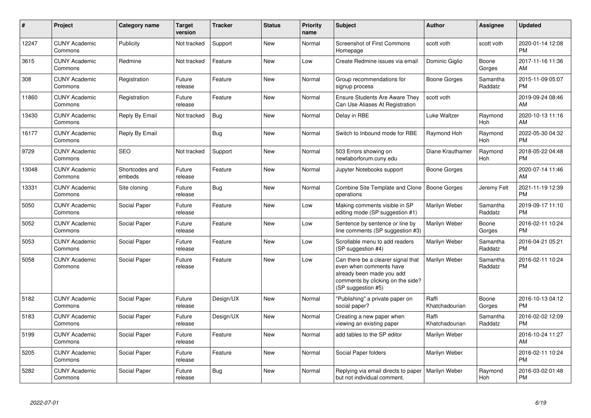| $\pmb{\#}$ | Project                         | <b>Category name</b>     | <b>Target</b><br>version | <b>Tracker</b> | <b>Status</b> | <b>Priority</b><br>name | <b>Subject</b>                                                                                                                                        | <b>Author</b>           | Assignee            | <b>Updated</b>                |
|------------|---------------------------------|--------------------------|--------------------------|----------------|---------------|-------------------------|-------------------------------------------------------------------------------------------------------------------------------------------------------|-------------------------|---------------------|-------------------------------|
| 12247      | <b>CUNY Academic</b><br>Commons | Publicity                | Not tracked              | Support        | <b>New</b>    | Normal                  | <b>Screenshot of First Commons</b><br>Homepage                                                                                                        | scott voth              | scott voth          | 2020-01-14 12:08<br><b>PM</b> |
| 3615       | <b>CUNY Academic</b><br>Commons | Redmine                  | Not tracked              | Feature        | <b>New</b>    | Low                     | Create Redmine issues via email                                                                                                                       | Dominic Giglio          | Boone<br>Gorges     | 2017-11-16 11:36<br>AM        |
| 308        | <b>CUNY Academic</b><br>Commons | Registration             | Future<br>release        | Feature        | <b>New</b>    | Normal                  | Group recommendations for<br>signup process                                                                                                           | Boone Gorges            | Samantha<br>Raddatz | 2015-11-09 05:07<br><b>PM</b> |
| 11860      | <b>CUNY Academic</b><br>Commons | Registration             | Future<br>release        | Feature        | New           | Normal                  | <b>Ensure Students Are Aware They</b><br>Can Use Aliases At Registration                                                                              | scott voth              |                     | 2019-09-24 08:46<br>AM        |
| 13430      | <b>CUNY Academic</b><br>Commons | Reply By Email           | Not tracked              | Bug            | New           | Normal                  | Delay in RBE                                                                                                                                          | Luke Waltzer            | Raymond<br>Hoh      | 2020-10-13 11:16<br>AM        |
| 16177      | <b>CUNY Academic</b><br>Commons | Reply By Email           |                          | Bug            | New           | Normal                  | Switch to Inbound mode for RBE                                                                                                                        | Raymond Hoh             | Raymond<br>Hoh      | 2022-05-30 04:32<br><b>PM</b> |
| 9729       | <b>CUNY Academic</b><br>Commons | <b>SEO</b>               | Not tracked              | Support        | New           | Normal                  | 503 Errors showing on<br>newlaborforum.cuny.edu                                                                                                       | Diane Krauthamer        | Raymond<br>Hoh      | 2018-05-22 04:48<br><b>PM</b> |
| 13048      | <b>CUNY Academic</b><br>Commons | Shortcodes and<br>embeds | Future<br>release        | Feature        | <b>New</b>    | Normal                  | Jupyter Notebooks support                                                                                                                             | Boone Gorges            |                     | 2020-07-14 11:46<br>AM        |
| 13331      | <b>CUNY Academic</b><br>Commons | Site cloning             | Future<br>release        | Bug            | <b>New</b>    | Normal                  | Combine Site Template and Clone<br>operations                                                                                                         | Boone Gorges            | Jeremy Felt         | 2021-11-19 12:39<br><b>PM</b> |
| 5050       | <b>CUNY Academic</b><br>Commons | Social Paper             | Future<br>release        | Feature        | <b>New</b>    | Low                     | Making comments visible in SP<br>editing mode (SP suggestion #1)                                                                                      | Marilyn Weber           | Samantha<br>Raddatz | 2019-09-17 11:10<br><b>PM</b> |
| 5052       | <b>CUNY Academic</b><br>Commons | Social Paper             | Future<br>release        | Feature        | New           | Low                     | Sentence by sentence or line by<br>line comments (SP suggestion #3)                                                                                   | Marilyn Weber           | Boone<br>Gorges     | 2016-02-11 10:24<br><b>PM</b> |
| 5053       | <b>CUNY Academic</b><br>Commons | Social Paper             | Future<br>release        | Feature        | New           | Low                     | Scrollable menu to add readers<br>(SP suggestion #4)                                                                                                  | Marilyn Weber           | Samantha<br>Raddatz | 2016-04-21 05:21<br><b>PM</b> |
| 5058       | <b>CUNY Academic</b><br>Commons | Social Paper             | Future<br>release        | Feature        | New           | Low                     | Can there be a clearer signal that<br>even when comments have<br>already been made you add<br>comments by clicking on the side?<br>(SP suggestion #5) | Marilyn Weber           | Samantha<br>Raddatz | 2016-02-11 10:24<br><b>PM</b> |
| 5182       | <b>CUNY Academic</b><br>Commons | Social Paper             | Future<br>release        | Design/UX      | New           | Normal                  | "Publishing" a private paper on<br>social paper?                                                                                                      | Raffi<br>Khatchadourian | Boone<br>Gorges     | 2016-10-13 04:12<br><b>PM</b> |
| 5183       | <b>CUNY Academic</b><br>Commons | Social Paper             | Future<br>release        | Design/UX      | New           | Normal                  | Creating a new paper when<br>viewing an existing paper                                                                                                | Raffi<br>Khatchadourian | Samantha<br>Raddatz | 2016-02-02 12:09<br><b>PM</b> |
| 5199       | <b>CUNY Academic</b><br>Commons | Social Paper             | Future<br>release        | Feature        | New           | Normal                  | add tables to the SP editor                                                                                                                           | Marilyn Weber           |                     | 2016-10-24 11:27<br>AM        |
| 5205       | <b>CUNY Academic</b><br>Commons | Social Paper             | Future<br>release        | Feature        | New           | Normal                  | Social Paper folders                                                                                                                                  | Marilyn Weber           |                     | 2016-02-11 10:24<br><b>PM</b> |
| 5282       | <b>CUNY Academic</b><br>Commons | Social Paper             | Future<br>release        | <b>Bug</b>     | New           | Normal                  | Replying via email directs to paper<br>but not individual comment.                                                                                    | Marilyn Weber           | Raymond<br>Hoh      | 2016-03-02 01:48<br><b>PM</b> |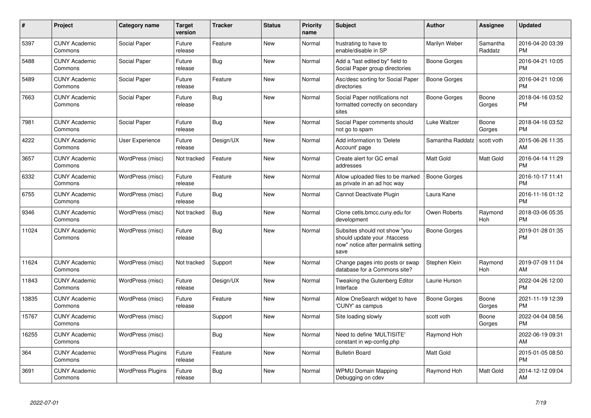| $\pmb{\sharp}$ | <b>Project</b>                  | <b>Category name</b>     | <b>Target</b><br>version | <b>Tracker</b> | <b>Status</b> | <b>Priority</b><br>name | <b>Subject</b>                                                                                               | <b>Author</b>       | Assignee            | <b>Updated</b>                |
|----------------|---------------------------------|--------------------------|--------------------------|----------------|---------------|-------------------------|--------------------------------------------------------------------------------------------------------------|---------------------|---------------------|-------------------------------|
| 5397           | <b>CUNY Academic</b><br>Commons | Social Paper             | Future<br>release        | Feature        | <b>New</b>    | Normal                  | frustrating to have to<br>enable/disable in SP                                                               | Marilyn Weber       | Samantha<br>Raddatz | 2016-04-20 03:39<br><b>PM</b> |
| 5488           | <b>CUNY Academic</b><br>Commons | Social Paper             | Future<br>release        | Bug            | <b>New</b>    | Normal                  | Add a "last edited by" field to<br>Social Paper group directories                                            | Boone Gorges        |                     | 2016-04-21 10:05<br><b>PM</b> |
| 5489           | <b>CUNY Academic</b><br>Commons | Social Paper             | Future<br>release        | Feature        | <b>New</b>    | Normal                  | Asc/desc sorting for Social Paper<br>directories                                                             | Boone Gorges        |                     | 2016-04-21 10:06<br><b>PM</b> |
| 7663           | <b>CUNY Academic</b><br>Commons | Social Paper             | Future<br>release        | Bug            | <b>New</b>    | Normal                  | Social Paper notifications not<br>formatted correctly on secondary<br>sites                                  | Boone Gorges        | Boone<br>Gorges     | 2018-04-16 03:52<br><b>PM</b> |
| 7981           | <b>CUNY Academic</b><br>Commons | Social Paper             | Future<br>release        | Bug            | New           | Normal                  | Social Paper comments should<br>not go to spam                                                               | Luke Waltzer        | Boone<br>Gorges     | 2018-04-16 03:52<br><b>PM</b> |
| 4222           | <b>CUNY Academic</b><br>Commons | User Experience          | Future<br>release        | Design/UX      | New           | Normal                  | Add information to 'Delete<br>Account' page                                                                  | Samantha Raddatz    | scott voth          | 2015-06-26 11:35<br>AM        |
| 3657           | <b>CUNY Academic</b><br>Commons | WordPress (misc)         | Not tracked              | Feature        | <b>New</b>    | Normal                  | Create alert for GC email<br>addresses                                                                       | Matt Gold           | Matt Gold           | 2016-04-14 11:29<br><b>PM</b> |
| 6332           | <b>CUNY Academic</b><br>Commons | WordPress (misc)         | Future<br>release        | Feature        | <b>New</b>    | Normal                  | Allow uploaded files to be marked<br>as private in an ad hoc way                                             | <b>Boone Gorges</b> |                     | 2016-10-17 11:41<br><b>PM</b> |
| 6755           | <b>CUNY Academic</b><br>Commons | WordPress (misc)         | Future<br>release        | Bug            | <b>New</b>    | Normal                  | Cannot Deactivate Plugin                                                                                     | Laura Kane          |                     | 2016-11-16 01:12<br><b>PM</b> |
| 9346           | <b>CUNY Academic</b><br>Commons | WordPress (misc)         | Not tracked              | <b>Bug</b>     | New           | Normal                  | Clone cetls.bmcc.cuny.edu for<br>development                                                                 | Owen Roberts        | Raymond<br>Hoh      | 2018-03-06 05:35<br><b>PM</b> |
| 11024          | <b>CUNY Academic</b><br>Commons | WordPress (misc)         | Future<br>release        | Bug            | New           | Normal                  | Subsites should not show "you<br>should update your .htaccess<br>now" notice after permalink setting<br>save | Boone Gorges        |                     | 2019-01-28 01:35<br><b>PM</b> |
| 11624          | <b>CUNY Academic</b><br>Commons | WordPress (misc)         | Not tracked              | Support        | <b>New</b>    | Normal                  | Change pages into posts or swap<br>database for a Commons site?                                              | Stephen Klein       | Raymond<br>Hoh      | 2019-07-09 11:04<br>AM        |
| 11843          | <b>CUNY Academic</b><br>Commons | WordPress (misc)         | Future<br>release        | Design/UX      | <b>New</b>    | Normal                  | Tweaking the Gutenberg Editor<br>Interface                                                                   | Laurie Hurson       |                     | 2022-04-26 12:00<br><b>PM</b> |
| 13835          | <b>CUNY Academic</b><br>Commons | WordPress (misc)         | Future<br>release        | Feature        | <b>New</b>    | Normal                  | Allow OneSearch widget to have<br>'CUNY' as campus                                                           | <b>Boone Gorges</b> | Boone<br>Gorges     | 2021-11-19 12:39<br><b>PM</b> |
| 15767          | <b>CUNY Academic</b><br>Commons | WordPress (misc)         |                          | Support        | New           | Normal                  | Site loading slowly                                                                                          | scott voth          | Boone<br>Gorges     | 2022-04-04 08:56<br><b>PM</b> |
| 16255          | <b>CUNY Academic</b><br>Commons | WordPress (misc)         |                          | Bug            | New           | Normal                  | Need to define 'MULTISITE'<br>constant in wp-config.php                                                      | Raymond Hoh         |                     | 2022-06-19 09:31<br>AM        |
| 364            | <b>CUNY Academic</b><br>Commons | <b>WordPress Plugins</b> | Future<br>release        | Feature        | <b>New</b>    | Normal                  | <b>Bulletin Board</b>                                                                                        | <b>Matt Gold</b>    |                     | 2015-01-05 08:50<br><b>PM</b> |
| 3691           | <b>CUNY Academic</b><br>Commons | <b>WordPress Plugins</b> | Future<br>release        | <b>Bug</b>     | <b>New</b>    | Normal                  | <b>WPMU Domain Mapping</b><br>Debugging on cdev                                                              | Raymond Hoh         | Matt Gold           | 2014-12-12 09:04<br>AM        |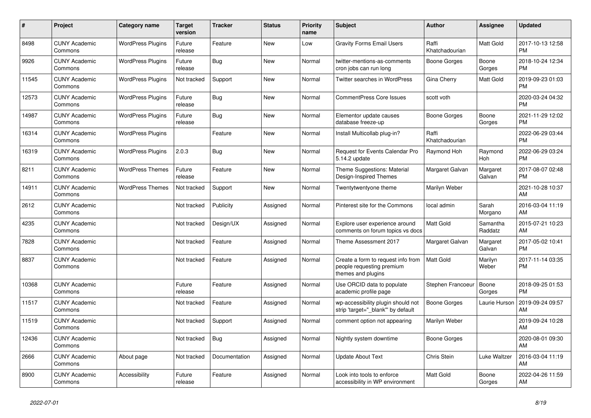| $\pmb{\sharp}$ | <b>Project</b>                  | Category name            | <b>Target</b><br>version | <b>Tracker</b> | <b>Status</b> | <b>Priority</b><br>name | <b>Subject</b>                                                                        | <b>Author</b>           | Assignee            | <b>Updated</b>                |
|----------------|---------------------------------|--------------------------|--------------------------|----------------|---------------|-------------------------|---------------------------------------------------------------------------------------|-------------------------|---------------------|-------------------------------|
| 8498           | <b>CUNY Academic</b><br>Commons | <b>WordPress Plugins</b> | Future<br>release        | Feature        | New           | Low                     | <b>Gravity Forms Email Users</b>                                                      | Raffi<br>Khatchadourian | Matt Gold           | 2017-10-13 12:58<br><b>PM</b> |
| 9926           | <b>CUNY Academic</b><br>Commons | <b>WordPress Plugins</b> | Future<br>release        | Bug            | New           | Normal                  | twitter-mentions-as-comments<br>cron jobs can run long                                | Boone Gorges            | Boone<br>Gorges     | 2018-10-24 12:34<br><b>PM</b> |
| 11545          | <b>CUNY Academic</b><br>Commons | <b>WordPress Plugins</b> | Not tracked              | Support        | <b>New</b>    | Normal                  | Twitter searches in WordPress                                                         | Gina Cherry             | Matt Gold           | 2019-09-23 01:03<br><b>PM</b> |
| 12573          | <b>CUNY Academic</b><br>Commons | <b>WordPress Plugins</b> | Future<br>release        | Bug            | <b>New</b>    | Normal                  | <b>CommentPress Core Issues</b>                                                       | scott voth              |                     | 2020-03-24 04:32<br><b>PM</b> |
| 14987          | <b>CUNY Academic</b><br>Commons | <b>WordPress Plugins</b> | Future<br>release        | Bug            | New           | Normal                  | Elementor update causes<br>database freeze-up                                         | Boone Gorges            | Boone<br>Gorges     | 2021-11-29 12:02<br><b>PM</b> |
| 16314          | <b>CUNY Academic</b><br>Commons | <b>WordPress Plugins</b> |                          | Feature        | New           | Normal                  | Install Multicollab plug-in?                                                          | Raffi<br>Khatchadourian |                     | 2022-06-29 03:44<br><b>PM</b> |
| 16319          | <b>CUNY Academic</b><br>Commons | <b>WordPress Plugins</b> | 2.0.3                    | Bug            | <b>New</b>    | Normal                  | Request for Events Calendar Pro<br>5.14.2 update                                      | Raymond Hoh             | Raymond<br>Hoh      | 2022-06-29 03:24<br><b>PM</b> |
| 8211           | <b>CUNY Academic</b><br>Commons | <b>WordPress Themes</b>  | Future<br>release        | Feature        | <b>New</b>    | Normal                  | Theme Suggestions: Material<br>Design-Inspired Themes                                 | Margaret Galvan         | Margaret<br>Galvan  | 2017-08-07 02:48<br><b>PM</b> |
| 14911          | <b>CUNY Academic</b><br>Commons | <b>WordPress Themes</b>  | Not tracked              | Support        | New           | Normal                  | Twentytwentyone theme                                                                 | Marilyn Weber           |                     | 2021-10-28 10:37<br>AM        |
| 2612           | <b>CUNY Academic</b><br>Commons |                          | Not tracked              | Publicity      | Assigned      | Normal                  | Pinterest site for the Commons                                                        | local admin             | Sarah<br>Morgano    | 2016-03-04 11:19<br>AM        |
| 4235           | <b>CUNY Academic</b><br>Commons |                          | Not tracked              | Design/UX      | Assigned      | Normal                  | Explore user experience around<br>comments on forum topics vs docs                    | <b>Matt Gold</b>        | Samantha<br>Raddatz | 2015-07-21 10:23<br>AM        |
| 7828           | <b>CUNY Academic</b><br>Commons |                          | Not tracked              | Feature        | Assigned      | Normal                  | Theme Assessment 2017                                                                 | Margaret Galvan         | Margaret<br>Galvan  | 2017-05-02 10:41<br><b>PM</b> |
| 8837           | <b>CUNY Academic</b><br>Commons |                          | Not tracked              | Feature        | Assigned      | Normal                  | Create a form to request info from<br>people requesting premium<br>themes and plugins | <b>Matt Gold</b>        | Marilyn<br>Weber    | 2017-11-14 03:35<br><b>PM</b> |
| 10368          | <b>CUNY Academic</b><br>Commons |                          | Future<br>release        | Feature        | Assigned      | Normal                  | Use ORCID data to populate<br>academic profile page                                   | Stephen Francoeur       | Boone<br>Gorges     | 2018-09-25 01:53<br><b>PM</b> |
| 11517          | <b>CUNY Academic</b><br>Commons |                          | Not tracked              | Feature        | Assigned      | Normal                  | wp-accessibility plugin should not<br>strip 'target="_blank" by default               | Boone Gorges            | Laurie Hurson       | 2019-09-24 09:57<br>AM        |
| 11519          | <b>CUNY Academic</b><br>Commons |                          | Not tracked              | Support        | Assigned      | Normal                  | comment option not appearing                                                          | Marilyn Weber           |                     | 2019-09-24 10:28<br>AM        |
| 12436          | <b>CUNY Academic</b><br>Commons |                          | Not tracked              | Bug            | Assigned      | Normal                  | Nightly system downtime                                                               | Boone Gorges            |                     | 2020-08-01 09:30<br>AM        |
| 2666           | <b>CUNY Academic</b><br>Commons | About page               | Not tracked              | Documentation  | Assigned      | Normal                  | <b>Update About Text</b>                                                              | Chris Stein             | Luke Waltzer        | 2016-03-04 11:19<br>AM        |
| 8900           | <b>CUNY Academic</b><br>Commons | Accessibility            | Future<br>release        | Feature        | Assigned      | Normal                  | Look into tools to enforce<br>accessibility in WP environment                         | Matt Gold               | Boone<br>Gorges     | 2022-04-26 11:59<br>AM        |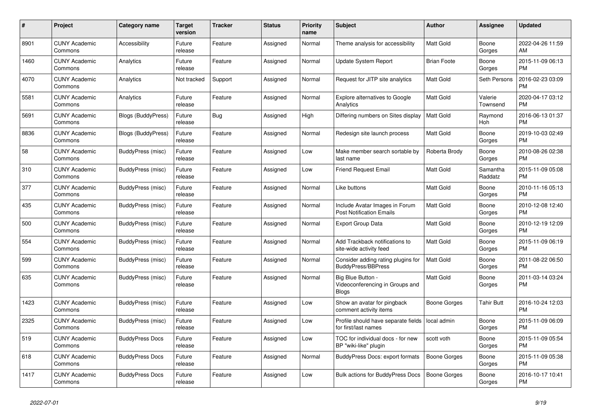| #    | Project                         | <b>Category name</b>      | <b>Target</b><br>version | <b>Tracker</b> | <b>Status</b> | <b>Priority</b><br>name | <b>Subject</b>                                                       | <b>Author</b>       | Assignee            | <b>Updated</b>                |
|------|---------------------------------|---------------------------|--------------------------|----------------|---------------|-------------------------|----------------------------------------------------------------------|---------------------|---------------------|-------------------------------|
| 8901 | <b>CUNY Academic</b><br>Commons | Accessibility             | Future<br>release        | Feature        | Assigned      | Normal                  | Theme analysis for accessibility                                     | <b>Matt Gold</b>    | Boone<br>Gorges     | 2022-04-26 11:59<br>AM        |
| 1460 | <b>CUNY Academic</b><br>Commons | Analytics                 | Future<br>release        | Feature        | Assigned      | Normal                  | Update System Report                                                 | <b>Brian Foote</b>  | Boone<br>Gorges     | 2015-11-09 06:13<br><b>PM</b> |
| 4070 | <b>CUNY Academic</b><br>Commons | Analytics                 | Not tracked              | Support        | Assigned      | Normal                  | Request for JITP site analytics                                      | Matt Gold           | Seth Persons        | 2016-02-23 03:09<br><b>PM</b> |
| 5581 | <b>CUNY Academic</b><br>Commons | Analytics                 | Future<br>release        | Feature        | Assigned      | Normal                  | Explore alternatives to Google<br>Analytics                          | <b>Matt Gold</b>    | Valerie<br>Townsend | 2020-04-17 03:12<br><b>PM</b> |
| 5691 | <b>CUNY Academic</b><br>Commons | <b>Blogs (BuddyPress)</b> | Future<br>release        | Bug            | Assigned      | High                    | Differing numbers on Sites display                                   | <b>Matt Gold</b>    | Raymond<br>Hoh      | 2016-06-13 01:37<br><b>PM</b> |
| 8836 | <b>CUNY Academic</b><br>Commons | <b>Blogs (BuddyPress)</b> | Future<br>release        | Feature        | Assigned      | Normal                  | Redesign site launch process                                         | Matt Gold           | Boone<br>Gorges     | 2019-10-03 02:49<br><b>PM</b> |
| 58   | <b>CUNY Academic</b><br>Commons | BuddyPress (misc)         | Future<br>release        | Feature        | Assigned      | Low                     | Make member search sortable by<br>last name                          | Roberta Brody       | Boone<br>Gorges     | 2010-08-26 02:38<br><b>PM</b> |
| 310  | <b>CUNY Academic</b><br>Commons | BuddyPress (misc)         | Future<br>release        | Feature        | Assigned      | Low                     | <b>Friend Request Email</b>                                          | <b>Matt Gold</b>    | Samantha<br>Raddatz | 2015-11-09 05:08<br><b>PM</b> |
| 377  | <b>CUNY Academic</b><br>Commons | BuddyPress (misc)         | Future<br>release        | Feature        | Assigned      | Normal                  | Like buttons                                                         | Matt Gold           | Boone<br>Gorges     | 2010-11-16 05:13<br><b>PM</b> |
| 435  | <b>CUNY Academic</b><br>Commons | BuddyPress (misc)         | Future<br>release        | Feature        | Assigned      | Normal                  | Include Avatar Images in Forum<br><b>Post Notification Emails</b>    | Matt Gold           | Boone<br>Gorges     | 2010-12-08 12:40<br><b>PM</b> |
| 500  | <b>CUNY Academic</b><br>Commons | BuddyPress (misc)         | Future<br>release        | Feature        | Assigned      | Normal                  | <b>Export Group Data</b>                                             | <b>Matt Gold</b>    | Boone<br>Gorges     | 2010-12-19 12:09<br><b>PM</b> |
| 554  | <b>CUNY Academic</b><br>Commons | BuddyPress (misc)         | Future<br>release        | Feature        | Assigned      | Normal                  | Add Trackback notifications to<br>site-wide activity feed            | Matt Gold           | Boone<br>Gorges     | 2015-11-09 06:19<br><b>PM</b> |
| 599  | <b>CUNY Academic</b><br>Commons | BuddyPress (misc)         | Future<br>release        | Feature        | Assigned      | Normal                  | Consider adding rating plugins for<br><b>BuddyPress/BBPress</b>      | Matt Gold           | Boone<br>Gorges     | 2011-08-22 06:50<br><b>PM</b> |
| 635  | <b>CUNY Academic</b><br>Commons | BuddyPress (misc)         | Future<br>release        | Feature        | Assigned      | Normal                  | Big Blue Button -<br>Videoconferencing in Groups and<br><b>Blogs</b> | <b>Matt Gold</b>    | Boone<br>Gorges     | 2011-03-14 03:24<br><b>PM</b> |
| 1423 | <b>CUNY Academic</b><br>Commons | <b>BuddyPress</b> (misc)  | Future<br>release        | Feature        | Assigned      | Low                     | Show an avatar for pingback<br>comment activity items                | Boone Gorges        | <b>Tahir Butt</b>   | 2016-10-24 12:03<br><b>PM</b> |
| 2325 | <b>CUNY Academic</b><br>Commons | BuddyPress (misc)         | Future<br>release        | Feature        | Assigned      | Low                     | Profile should have separate fields<br>for first/last names          | local admin         | Boone<br>Gorges     | 2015-11-09 06:09<br><b>PM</b> |
| 519  | <b>CUNY Academic</b><br>Commons | <b>BuddyPress Docs</b>    | Future<br>release        | Feature        | Assigned      | Low                     | TOC for individual docs - for new<br>BP "wiki-like" plugin           | scott voth          | Boone<br>Gorges     | 2015-11-09 05:54<br><b>PM</b> |
| 618  | <b>CUNY Academic</b><br>Commons | <b>BuddyPress Docs</b>    | Future<br>release        | Feature        | Assigned      | Normal                  | <b>BuddyPress Docs: export formats</b>                               | <b>Boone Gorges</b> | Boone<br>Gorges     | 2015-11-09 05:38<br><b>PM</b> |
| 1417 | <b>CUNY Academic</b><br>Commons | <b>BuddyPress Docs</b>    | Future<br>release        | Feature        | Assigned      | Low                     | <b>Bulk actions for BuddyPress Docs</b>                              | <b>Boone Gorges</b> | Boone<br>Gorges     | 2016-10-17 10:41<br><b>PM</b> |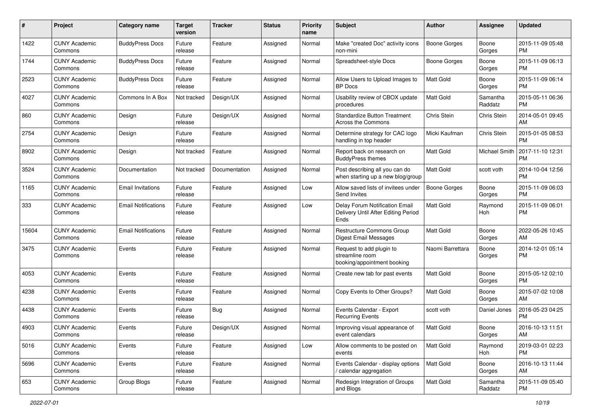| #     | Project                         | <b>Category name</b>       | <b>Target</b><br>version | <b>Tracker</b> | <b>Status</b> | <b>Priority</b><br>name | <b>Subject</b>                                                                | Author              | <b>Assignee</b>     | <b>Updated</b>                |
|-------|---------------------------------|----------------------------|--------------------------|----------------|---------------|-------------------------|-------------------------------------------------------------------------------|---------------------|---------------------|-------------------------------|
| 1422  | <b>CUNY Academic</b><br>Commons | <b>BuddyPress Docs</b>     | Future<br>release        | Feature        | Assigned      | Normal                  | Make "created Doc" activity icons<br>non-mini                                 | <b>Boone Gorges</b> | Boone<br>Gorges     | 2015-11-09 05:48<br>PM.       |
| 1744  | <b>CUNY Academic</b><br>Commons | <b>BuddyPress Docs</b>     | Future<br>release        | Feature        | Assigned      | Normal                  | Spreadsheet-style Docs                                                        | <b>Boone Gorges</b> | Boone<br>Gorges     | 2015-11-09 06:13<br><b>PM</b> |
| 2523  | <b>CUNY Academic</b><br>Commons | <b>BuddyPress Docs</b>     | Future<br>release        | Feature        | Assigned      | Normal                  | Allow Users to Upload Images to<br>BP Docs                                    | Matt Gold           | Boone<br>Gorges     | 2015-11-09 06:14<br><b>PM</b> |
| 4027  | <b>CUNY Academic</b><br>Commons | Commons In A Box           | Not tracked              | Design/UX      | Assigned      | Normal                  | Usability review of CBOX update<br>procedures                                 | <b>Matt Gold</b>    | Samantha<br>Raddatz | 2015-05-11 06:36<br>PM.       |
| 860   | <b>CUNY Academic</b><br>Commons | Design                     | Future<br>release        | Design/UX      | Assigned      | Normal                  | <b>Standardize Button Treatment</b><br>Across the Commons                     | Chris Stein         | Chris Stein         | 2014-05-01 09:45<br>AM        |
| 2754  | <b>CUNY Academic</b><br>Commons | Design                     | Future<br>release        | Feature        | Assigned      | Normal                  | Determine strategy for CAC logo<br>handling in top header                     | Micki Kaufman       | Chris Stein         | 2015-01-05 08:53<br>PM.       |
| 8902  | <b>CUNY Academic</b><br>Commons | Design                     | Not tracked              | Feature        | Assigned      | Normal                  | Report back on research on<br><b>BuddyPress themes</b>                        | <b>Matt Gold</b>    | Michael Smith       | 2017-11-10 12:31<br><b>PM</b> |
| 3524  | <b>CUNY Academic</b><br>Commons | Documentation              | Not tracked              | Documentation  | Assigned      | Normal                  | Post describing all you can do<br>when starting up a new blog/group           | <b>Matt Gold</b>    | scott voth          | 2014-10-04 12:56<br>PM.       |
| 1165  | <b>CUNY Academic</b><br>Commons | <b>Email Invitations</b>   | Future<br>release        | Feature        | Assigned      | Low                     | Allow saved lists of invitees under<br>Send Invites                           | <b>Boone Gorges</b> | Boone<br>Gorges     | 2015-11-09 06:03<br><b>PM</b> |
| 333   | <b>CUNY Academic</b><br>Commons | <b>Email Notifications</b> | Future<br>release        | Feature        | Assigned      | Low                     | Delay Forum Notification Email<br>Delivery Until After Editing Period<br>Ends | <b>Matt Gold</b>    | Raymond<br>Hoh      | 2015-11-09 06:01<br><b>PM</b> |
| 15604 | <b>CUNY Academic</b><br>Commons | <b>Email Notifications</b> | Future<br>release        | Feature        | Assigned      | Normal                  | Restructure Commons Group<br>Digest Email Messages                            | Matt Gold           | Boone<br>Gorges     | 2022-05-26 10:45<br>AM        |
| 3475  | <b>CUNY Academic</b><br>Commons | Events                     | Future<br>release        | Feature        | Assigned      | Normal                  | Request to add plugin to<br>streamline room<br>booking/appointment booking    | Naomi Barrettara    | Boone<br>Gorges     | 2014-12-01 05:14<br>PM        |
| 4053  | <b>CUNY Academic</b><br>Commons | Events                     | Future<br>release        | Feature        | Assigned      | Normal                  | Create new tab for past events                                                | <b>Matt Gold</b>    | Boone<br>Gorges     | 2015-05-12 02:10<br>PM.       |
| 4238  | <b>CUNY Academic</b><br>Commons | Events                     | Future<br>release        | Feature        | Assigned      | Normal                  | Copy Events to Other Groups?                                                  | Matt Gold           | Boone<br>Gorges     | 2015-07-02 10:08<br>AM        |
| 4438  | <b>CUNY Academic</b><br>Commons | Events                     | Future<br>release        | Bug            | Assigned      | Normal                  | Events Calendar - Export<br><b>Recurring Events</b>                           | scott voth          | Daniel Jones        | 2016-05-23 04:25<br><b>PM</b> |
| 4903  | <b>CUNY Academic</b><br>Commons | Events                     | Future<br>release        | Design/UX      | Assigned      | Normal                  | Improving visual appearance of<br>event calendars                             | Matt Gold           | Boone<br>Gorges     | 2016-10-13 11:51<br>AM        |
| 5016  | <b>CUNY Academic</b><br>Commons | Events                     | Future<br>release        | Feature        | Assigned      | Low                     | Allow comments to be posted on<br>events                                      | <b>Matt Gold</b>    | Raymond<br>Hoh      | 2019-03-01 02:23<br>PM.       |
| 5696  | <b>CUNY Academic</b><br>Commons | Events                     | Future<br>release        | Feature        | Assigned      | Normal                  | Events Calendar - display options<br>/ calendar aggregation                   | <b>Matt Gold</b>    | Boone<br>Gorges     | 2016-10-13 11:44<br>AM        |
| 653   | <b>CUNY Academic</b><br>Commons | Group Blogs                | Future<br>release        | Feature        | Assigned      | Normal                  | Redesign Integration of Groups<br>and Blogs                                   | Matt Gold           | Samantha<br>Raddatz | 2015-11-09 05:40<br><b>PM</b> |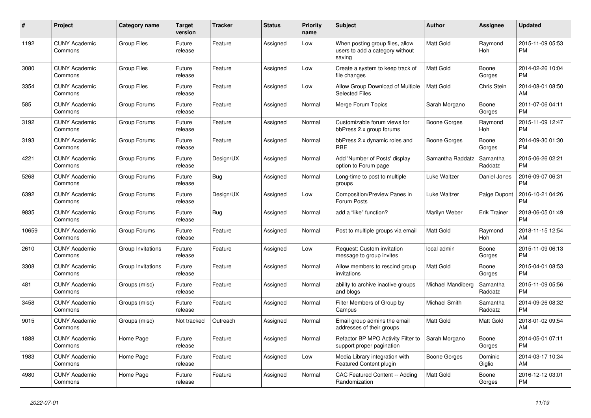| #     | <b>Project</b>                  | Category name      | <b>Target</b><br>version | <b>Tracker</b> | <b>Status</b> | <b>Priority</b><br>name | <b>Subject</b>                                                               | <b>Author</b>     | Assignee              | <b>Updated</b>                |
|-------|---------------------------------|--------------------|--------------------------|----------------|---------------|-------------------------|------------------------------------------------------------------------------|-------------------|-----------------------|-------------------------------|
| 1192  | <b>CUNY Academic</b><br>Commons | Group Files        | Future<br>release        | Feature        | Assigned      | Low                     | When posting group files, allow<br>users to add a category without<br>saving | Matt Gold         | Raymond<br><b>Hoh</b> | 2015-11-09 05:53<br><b>PM</b> |
| 3080  | <b>CUNY Academic</b><br>Commons | Group Files        | Future<br>release        | Feature        | Assigned      | Low                     | Create a system to keep track of<br>file changes                             | <b>Matt Gold</b>  | Boone<br>Gorges       | 2014-02-26 10:04<br><b>PM</b> |
| 3354  | <b>CUNY Academic</b><br>Commons | <b>Group Files</b> | Future<br>release        | Feature        | Assigned      | Low                     | Allow Group Download of Multiple<br><b>Selected Files</b>                    | <b>Matt Gold</b>  | Chris Stein           | 2014-08-01 08:50<br>AM        |
| 585   | <b>CUNY Academic</b><br>Commons | Group Forums       | Future<br>release        | Feature        | Assigned      | Normal                  | Merge Forum Topics                                                           | Sarah Morgano     | Boone<br>Gorges       | 2011-07-06 04:11<br><b>PM</b> |
| 3192  | <b>CUNY Academic</b><br>Commons | Group Forums       | Future<br>release        | Feature        | Assigned      | Normal                  | Customizable forum views for<br>bbPress 2.x group forums                     | Boone Gorges      | Raymond<br>Hoh        | 2015-11-09 12:47<br><b>PM</b> |
| 3193  | <b>CUNY Academic</b><br>Commons | Group Forums       | Future<br>release        | Feature        | Assigned      | Normal                  | bbPress 2.x dynamic roles and<br><b>RBE</b>                                  | Boone Gorges      | Boone<br>Gorges       | 2014-09-30 01:30<br><b>PM</b> |
| 4221  | <b>CUNY Academic</b><br>Commons | Group Forums       | Future<br>release        | Design/UX      | Assigned      | Normal                  | Add 'Number of Posts' display<br>option to Forum page                        | Samantha Raddatz  | Samantha<br>Raddatz   | 2015-06-26 02:21<br><b>PM</b> |
| 5268  | <b>CUNY Academic</b><br>Commons | Group Forums       | Future<br>release        | Bug            | Assigned      | Normal                  | Long-time to post to multiple<br>groups                                      | Luke Waltzer      | Daniel Jones          | 2016-09-07 06:31<br><b>PM</b> |
| 6392  | <b>CUNY Academic</b><br>Commons | Group Forums       | Future<br>release        | Design/UX      | Assigned      | Low                     | Composition/Preview Panes in<br>Forum Posts                                  | Luke Waltzer      | Paige Dupont          | 2016-10-21 04:26<br><b>PM</b> |
| 9835  | <b>CUNY Academic</b><br>Commons | Group Forums       | Future<br>release        | Bug            | Assigned      | Normal                  | add a "like" function?                                                       | Marilyn Weber     | <b>Erik Trainer</b>   | 2018-06-05 01:49<br><b>PM</b> |
| 10659 | <b>CUNY Academic</b><br>Commons | Group Forums       | Future<br>release        | Feature        | Assigned      | Normal                  | Post to multiple groups via email                                            | <b>Matt Gold</b>  | Raymond<br>Hoh        | 2018-11-15 12:54<br>AM        |
| 2610  | <b>CUNY Academic</b><br>Commons | Group Invitations  | Future<br>release        | Feature        | Assigned      | Low                     | Request: Custom invitation<br>message to group invites                       | local admin       | Boone<br>Gorges       | 2015-11-09 06:13<br><b>PM</b> |
| 3308  | <b>CUNY Academic</b><br>Commons | Group Invitations  | Future<br>release        | Feature        | Assigned      | Normal                  | Allow members to rescind group<br>invitations                                | <b>Matt Gold</b>  | Boone<br>Gorges       | 2015-04-01 08:53<br><b>PM</b> |
| 481   | <b>CUNY Academic</b><br>Commons | Groups (misc)      | Future<br>release        | Feature        | Assigned      | Normal                  | ability to archive inactive groups<br>and blogs                              | Michael Mandiberg | Samantha<br>Raddatz   | 2015-11-09 05:56<br><b>PM</b> |
| 3458  | <b>CUNY Academic</b><br>Commons | Groups (misc)      | Future<br>release        | Feature        | Assigned      | Normal                  | Filter Members of Group by<br>Campus                                         | Michael Smith     | Samantha<br>Raddatz   | 2014-09-26 08:32<br><b>PM</b> |
| 9015  | <b>CUNY Academic</b><br>Commons | Groups (misc)      | Not tracked              | Outreach       | Assigned      | Normal                  | Email group admins the email<br>addresses of their groups                    | Matt Gold         | Matt Gold             | 2018-01-02 09:54<br>AM        |
| 1888  | <b>CUNY Academic</b><br>Commons | Home Page          | Future<br>release        | Feature        | Assigned      | Normal                  | Refactor BP MPO Activity Filter to<br>support proper pagination              | Sarah Morgano     | Boone<br>Gorges       | 2014-05-01 07:11<br><b>PM</b> |
| 1983  | <b>CUNY Academic</b><br>Commons | Home Page          | Future<br>release        | Feature        | Assigned      | Low                     | Media Library integration with<br>Featured Content plugin                    | Boone Gorges      | Dominic<br>Giglio     | 2014-03-17 10:34<br>AM        |
| 4980  | <b>CUNY Academic</b><br>Commons | Home Page          | Future<br>release        | Feature        | Assigned      | Normal                  | CAC Featured Content -- Adding<br>Randomization                              | <b>Matt Gold</b>  | Boone<br>Gorges       | 2016-12-12 03:01<br><b>PM</b> |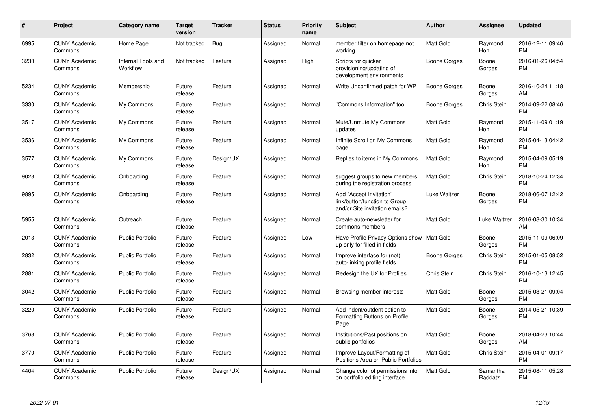| #    | Project                         | <b>Category name</b>           | <b>Target</b><br>version | <b>Tracker</b> | <b>Status</b> | <b>Priority</b><br>name | <b>Subject</b>                                                                             | <b>Author</b>    | <b>Assignee</b>     | <b>Updated</b>                |
|------|---------------------------------|--------------------------------|--------------------------|----------------|---------------|-------------------------|--------------------------------------------------------------------------------------------|------------------|---------------------|-------------------------------|
| 6995 | <b>CUNY Academic</b><br>Commons | Home Page                      | Not tracked              | Bug            | Assigned      | Normal                  | member filter on homepage not<br>working                                                   | Matt Gold        | Raymond<br>Hoh      | 2016-12-11 09:46<br><b>PM</b> |
| 3230 | <b>CUNY Academic</b><br>Commons | Internal Tools and<br>Workflow | Not tracked              | Feature        | Assigned      | High                    | Scripts for quicker<br>provisioning/updating of<br>development environments                | Boone Gorges     | Boone<br>Gorges     | 2016-01-26 04:54<br>PM        |
| 5234 | <b>CUNY Academic</b><br>Commons | Membership                     | Future<br>release        | Feature        | Assigned      | Normal                  | Write Unconfirmed patch for WP                                                             | Boone Gorges     | Boone<br>Gorges     | 2016-10-24 11:18<br>AM        |
| 3330 | <b>CUNY Academic</b><br>Commons | My Commons                     | Future<br>release        | Feature        | Assigned      | Normal                  | "Commons Information" tool                                                                 | Boone Gorges     | Chris Stein         | 2014-09-22 08:46<br><b>PM</b> |
| 3517 | <b>CUNY Academic</b><br>Commons | My Commons                     | Future<br>release        | Feature        | Assigned      | Normal                  | Mute/Unmute My Commons<br>updates                                                          | <b>Matt Gold</b> | Raymond<br>Hoh      | 2015-11-09 01:19<br><b>PM</b> |
| 3536 | <b>CUNY Academic</b><br>Commons | My Commons                     | Future<br>release        | Feature        | Assigned      | Normal                  | Infinite Scroll on My Commons<br>page                                                      | <b>Matt Gold</b> | Raymond<br>Hoh      | 2015-04-13 04:42<br><b>PM</b> |
| 3577 | <b>CUNY Academic</b><br>Commons | My Commons                     | Future<br>release        | Design/UX      | Assigned      | Normal                  | Replies to items in My Commons                                                             | <b>Matt Gold</b> | Raymond<br>Hoh      | 2015-04-09 05:19<br><b>PM</b> |
| 9028 | <b>CUNY Academic</b><br>Commons | Onboarding                     | Future<br>release        | Feature        | Assigned      | Normal                  | suggest groups to new members<br>during the registration process                           | Matt Gold        | Chris Stein         | 2018-10-24 12:34<br><b>PM</b> |
| 9895 | <b>CUNY Academic</b><br>Commons | Onboarding                     | Future<br>release        | Feature        | Assigned      | Normal                  | Add "Accept Invitation"<br>link/button/function to Group<br>and/or Site invitation emails? | Luke Waltzer     | Boone<br>Gorges     | 2018-06-07 12:42<br><b>PM</b> |
| 5955 | <b>CUNY Academic</b><br>Commons | Outreach                       | Future<br>release        | Feature        | Assigned      | Normal                  | Create auto-newsletter for<br>commons members                                              | <b>Matt Gold</b> | Luke Waltzer        | 2016-08-30 10:34<br>AM        |
| 2013 | <b>CUNY Academic</b><br>Commons | Public Portfolio               | Future<br>release        | Feature        | Assigned      | Low                     | Have Profile Privacy Options show   Matt Gold<br>up only for filled-in fields              |                  | Boone<br>Gorges     | 2015-11-09 06:09<br><b>PM</b> |
| 2832 | <b>CUNY Academic</b><br>Commons | <b>Public Portfolio</b>        | Future<br>release        | Feature        | Assigned      | Normal                  | Improve interface for (not)<br>auto-linking profile fields                                 | Boone Gorges     | Chris Stein         | 2015-01-05 08:52<br><b>PM</b> |
| 2881 | <b>CUNY Academic</b><br>Commons | <b>Public Portfolio</b>        | Future<br>release        | Feature        | Assigned      | Normal                  | Redesign the UX for Profiles                                                               | Chris Stein      | Chris Stein         | 2016-10-13 12:45<br><b>PM</b> |
| 3042 | <b>CUNY Academic</b><br>Commons | <b>Public Portfolio</b>        | Future<br>release        | Feature        | Assigned      | Normal                  | Browsing member interests                                                                  | <b>Matt Gold</b> | Boone<br>Gorges     | 2015-03-21 09:04<br><b>PM</b> |
| 3220 | <b>CUNY Academic</b><br>Commons | <b>Public Portfolio</b>        | Future<br>release        | Feature        | Assigned      | Normal                  | Add indent/outdent option to<br>Formatting Buttons on Profile<br>Page                      | <b>Matt Gold</b> | Boone<br>Gorges     | 2014-05-21 10:39<br><b>PM</b> |
| 3768 | <b>CUNY Academic</b><br>Commons | <b>Public Portfolio</b>        | Future<br>release        | Feature        | Assigned      | Normal                  | Institutions/Past positions on<br>public portfolios                                        | <b>Matt Gold</b> | Boone<br>Gorges     | 2018-04-23 10:44<br>AM        |
| 3770 | <b>CUNY Academic</b><br>Commons | <b>Public Portfolio</b>        | Future<br>release        | Feature        | Assigned      | Normal                  | Improve Layout/Formatting of<br>Positions Area on Public Portfolios                        | <b>Matt Gold</b> | Chris Stein         | 2015-04-01 09:17<br><b>PM</b> |
| 4404 | <b>CUNY Academic</b><br>Commons | <b>Public Portfolio</b>        | Future<br>release        | Design/UX      | Assigned      | Normal                  | Change color of permissions info<br>on portfolio editing interface                         | <b>Matt Gold</b> | Samantha<br>Raddatz | 2015-08-11 05:28<br>PM        |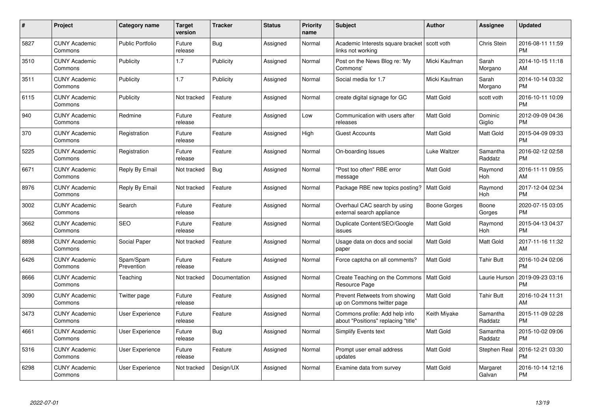| #    | Project                         | <b>Category name</b>    | <b>Target</b><br>version | <b>Tracker</b> | <b>Status</b> | Priority<br>name | <b>Subject</b>                                                        | <b>Author</b>    | Assignee            | <b>Updated</b>                |
|------|---------------------------------|-------------------------|--------------------------|----------------|---------------|------------------|-----------------------------------------------------------------------|------------------|---------------------|-------------------------------|
| 5827 | <b>CUNY Academic</b><br>Commons | <b>Public Portfolio</b> | Future<br>release        | Bug            | Assigned      | Normal           | Academic Interests square bracket<br>links not working                | scott voth       | Chris Stein         | 2016-08-11 11:59<br><b>PM</b> |
| 3510 | <b>CUNY Academic</b><br>Commons | Publicity               | 1.7                      | Publicity      | Assigned      | Normal           | Post on the News Blog re: 'My<br>Commons'                             | Micki Kaufman    | Sarah<br>Morgano    | 2014-10-15 11:18<br>AM        |
| 3511 | <b>CUNY Academic</b><br>Commons | Publicity               | 1.7                      | Publicity      | Assigned      | Normal           | Social media for 1.7                                                  | Micki Kaufman    | Sarah<br>Morgano    | 2014-10-14 03:32<br><b>PM</b> |
| 6115 | <b>CUNY Academic</b><br>Commons | Publicity               | Not tracked              | Feature        | Assigned      | Normal           | create digital signage for GC                                         | Matt Gold        | scott voth          | 2016-10-11 10:09<br><b>PM</b> |
| 940  | <b>CUNY Academic</b><br>Commons | Redmine                 | Future<br>release        | Feature        | Assigned      | Low              | Communication with users after<br>releases                            | <b>Matt Gold</b> | Dominic<br>Giglio   | 2012-09-09 04:36<br><b>PM</b> |
| 370  | <b>CUNY Academic</b><br>Commons | Registration            | Future<br>release        | Feature        | Assigned      | High             | <b>Guest Accounts</b>                                                 | Matt Gold        | Matt Gold           | 2015-04-09 09:33<br><b>PM</b> |
| 5225 | <b>CUNY Academic</b><br>Commons | Registration            | Future<br>release        | Feature        | Assigned      | Normal           | On-boarding Issues                                                    | Luke Waltzer     | Samantha<br>Raddatz | 2016-02-12 02:58<br><b>PM</b> |
| 6671 | <b>CUNY Academic</b><br>Commons | Reply By Email          | Not tracked              | Bug            | Assigned      | Normal           | "Post too often" RBE error<br>message                                 | <b>Matt Gold</b> | Raymond<br>Hoh      | 2016-11-11 09:55<br>AM        |
| 8976 | <b>CUNY Academic</b><br>Commons | Reply By Email          | Not tracked              | Feature        | Assigned      | Normal           | Package RBE new topics posting?                                       | <b>Matt Gold</b> | Raymond<br>Hoh      | 2017-12-04 02:34<br><b>PM</b> |
| 3002 | <b>CUNY Academic</b><br>Commons | Search                  | Future<br>release        | Feature        | Assigned      | Normal           | Overhaul CAC search by using<br>external search appliance             | Boone Gorges     | Boone<br>Gorges     | 2020-07-15 03:05<br><b>PM</b> |
| 3662 | <b>CUNY Academic</b><br>Commons | <b>SEO</b>              | Future<br>release        | Feature        | Assigned      | Normal           | Duplicate Content/SEO/Google<br>issues                                | Matt Gold        | Raymond<br>Hoh      | 2015-04-13 04:37<br><b>PM</b> |
| 8898 | <b>CUNY Academic</b><br>Commons | Social Paper            | Not tracked              | Feature        | Assigned      | Normal           | Usage data on docs and social<br>paper                                | Matt Gold        | Matt Gold           | 2017-11-16 11:32<br>AM        |
| 6426 | <b>CUNY Academic</b><br>Commons | Spam/Spam<br>Prevention | Future<br>release        | Feature        | Assigned      | Normal           | Force captcha on all comments?                                        | Matt Gold        | <b>Tahir Butt</b>   | 2016-10-24 02:06<br><b>PM</b> |
| 8666 | <b>CUNY Academic</b><br>Commons | Teaching                | Not tracked              | Documentation  | Assigned      | Normal           | Create Teaching on the Commons<br>Resource Page                       | Matt Gold        | Laurie Hurson       | 2019-09-23 03:16<br><b>PM</b> |
| 3090 | <b>CUNY Academic</b><br>Commons | Twitter page            | Future<br>release        | Feature        | Assigned      | Normal           | Prevent Retweets from showing<br>up on Commons twitter page           | Matt Gold        | Tahir Butt          | 2016-10-24 11:31<br>AM        |
| 3473 | <b>CUNY Academic</b><br>Commons | <b>User Experience</b>  | Future<br>release        | Feature        | Assigned      | Normal           | Commons profile: Add help info<br>about "Positions" replacing "title" | Keith Miyake     | Samantha<br>Raddatz | 2015-11-09 02:28<br><b>PM</b> |
| 4661 | <b>CUNY Academic</b><br>Commons | User Experience         | Future<br>release        | Bug            | Assigned      | Normal           | <b>Simplify Events text</b>                                           | <b>Matt Gold</b> | Samantha<br>Raddatz | 2015-10-02 09:06<br><b>PM</b> |
| 5316 | <b>CUNY Academic</b><br>Commons | User Experience         | Future<br>release        | Feature        | Assigned      | Normal           | Prompt user email address<br>updates                                  | <b>Matt Gold</b> | Stephen Real        | 2016-12-21 03:30<br><b>PM</b> |
| 6298 | CUNY Academic<br>Commons        | User Experience         | Not tracked              | Design/UX      | Assigned      | Normal           | Examine data from survey                                              | <b>Matt Gold</b> | Margaret<br>Galvan  | 2016-10-14 12:16<br><b>PM</b> |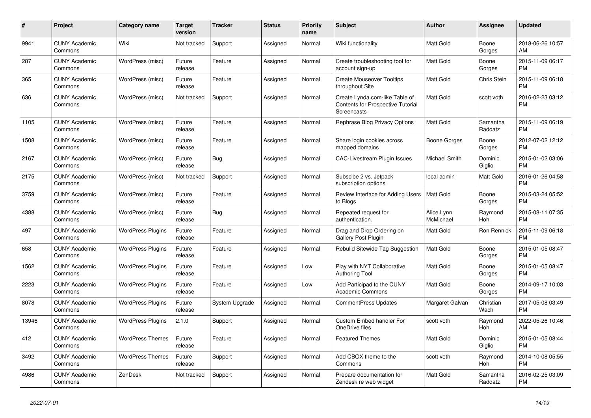| #     | <b>Project</b>                  | Category name            | <b>Target</b><br>version | <b>Tracker</b> | <b>Status</b> | <b>Priority</b><br>name | <b>Subject</b>                                                                            | <b>Author</b>           | Assignee            | <b>Updated</b>                |
|-------|---------------------------------|--------------------------|--------------------------|----------------|---------------|-------------------------|-------------------------------------------------------------------------------------------|-------------------------|---------------------|-------------------------------|
| 9941  | <b>CUNY Academic</b><br>Commons | Wiki                     | Not tracked              | Support        | Assigned      | Normal                  | Wiki functionality                                                                        | <b>Matt Gold</b>        | Boone<br>Gorges     | 2018-06-26 10:57<br>AM        |
| 287   | <b>CUNY Academic</b><br>Commons | WordPress (misc)         | Future<br>release        | Feature        | Assigned      | Normal                  | Create troubleshooting tool for<br>account sign-up                                        | <b>Matt Gold</b>        | Boone<br>Gorges     | 2015-11-09 06:17<br><b>PM</b> |
| 365   | <b>CUNY Academic</b><br>Commons | WordPress (misc)         | Future<br>release        | Feature        | Assigned      | Normal                  | <b>Create Mouseover Tooltips</b><br>throughout Site                                       | <b>Matt Gold</b>        | Chris Stein         | 2015-11-09 06:18<br><b>PM</b> |
| 636   | <b>CUNY Academic</b><br>Commons | WordPress (misc)         | Not tracked              | Support        | Assigned      | Normal                  | Create Lynda.com-like Table of<br>Contents for Prospective Tutorial<br><b>Screencasts</b> | <b>Matt Gold</b>        | scott voth          | 2016-02-23 03:12<br><b>PM</b> |
| 1105  | <b>CUNY Academic</b><br>Commons | WordPress (misc)         | Future<br>release        | Feature        | Assigned      | Normal                  | Rephrase Blog Privacy Options                                                             | <b>Matt Gold</b>        | Samantha<br>Raddatz | 2015-11-09 06:19<br><b>PM</b> |
| 1508  | <b>CUNY Academic</b><br>Commons | WordPress (misc)         | Future<br>release        | Feature        | Assigned      | Normal                  | Share login cookies across<br>mapped domains                                              | Boone Gorges            | Boone<br>Gorges     | 2012-07-02 12:12<br><b>PM</b> |
| 2167  | <b>CUNY Academic</b><br>Commons | WordPress (misc)         | Future<br>release        | Bug            | Assigned      | Normal                  | <b>CAC-Livestream Plugin Issues</b>                                                       | <b>Michael Smith</b>    | Dominic<br>Giglio   | 2015-01-02 03:06<br><b>PM</b> |
| 2175  | <b>CUNY Academic</b><br>Commons | WordPress (misc)         | Not tracked              | Support        | Assigned      | Normal                  | Subscibe 2 vs. Jetpack<br>subscription options                                            | local admin             | Matt Gold           | 2016-01-26 04:58<br><b>PM</b> |
| 3759  | <b>CUNY Academic</b><br>Commons | WordPress (misc)         | Future<br>release        | Feature        | Assigned      | Normal                  | Review Interface for Adding Users<br>to Blogs                                             | Matt Gold               | Boone<br>Gorges     | 2015-03-24 05:52<br><b>PM</b> |
| 4388  | <b>CUNY Academic</b><br>Commons | WordPress (misc)         | Future<br>release        | Bug            | Assigned      | Normal                  | Repeated request for<br>authentication.                                                   | Alice.Lynn<br>McMichael | Raymond<br>Hoh      | 2015-08-11 07:35<br><b>PM</b> |
| 497   | <b>CUNY Academic</b><br>Commons | <b>WordPress Plugins</b> | Future<br>release        | Feature        | Assigned      | Normal                  | Drag and Drop Ordering on<br><b>Gallery Post Plugin</b>                                   | <b>Matt Gold</b>        | Ron Rennick         | 2015-11-09 06:18<br><b>PM</b> |
| 658   | <b>CUNY Academic</b><br>Commons | <b>WordPress Plugins</b> | Future<br>release        | Feature        | Assigned      | Normal                  | Rebulid Sitewide Tag Suggestion                                                           | <b>Matt Gold</b>        | Boone<br>Gorges     | 2015-01-05 08:47<br><b>PM</b> |
| 1562  | <b>CUNY Academic</b><br>Commons | <b>WordPress Plugins</b> | Future<br>release        | Feature        | Assigned      | Low                     | Play with NYT Collaborative<br><b>Authoring Tool</b>                                      | <b>Matt Gold</b>        | Boone<br>Gorges     | 2015-01-05 08:47<br><b>PM</b> |
| 2223  | <b>CUNY Academic</b><br>Commons | <b>WordPress Plugins</b> | Future<br>release        | Feature        | Assigned      | Low                     | Add Participad to the CUNY<br><b>Academic Commons</b>                                     | <b>Matt Gold</b>        | Boone<br>Gorges     | 2014-09-17 10:03<br><b>PM</b> |
| 8078  | <b>CUNY Academic</b><br>Commons | <b>WordPress Plugins</b> | Future<br>release        | System Upgrade | Assigned      | Normal                  | <b>CommentPress Updates</b>                                                               | Margaret Galvan         | Christian<br>Wach   | 2017-05-08 03:49<br><b>PM</b> |
| 13946 | <b>CUNY Academic</b><br>Commons | <b>WordPress Plugins</b> | 2.1.0                    | Support        | Assigned      | Normal                  | <b>Custom Embed handler For</b><br>OneDrive files                                         | scott voth              | Raymond<br>Hoh      | 2022-05-26 10:46<br>AM        |
| 412   | <b>CUNY Academic</b><br>Commons | <b>WordPress Themes</b>  | Future<br>release        | Feature        | Assigned      | Normal                  | <b>Featured Themes</b>                                                                    | <b>Matt Gold</b>        | Dominic<br>Giglio   | 2015-01-05 08:44<br><b>PM</b> |
| 3492  | <b>CUNY Academic</b><br>Commons | <b>WordPress Themes</b>  | Future<br>release        | Support        | Assigned      | Normal                  | Add CBOX theme to the<br>Commons                                                          | scott voth              | Raymond<br>Hoh      | 2014-10-08 05:55<br><b>PM</b> |
| 4986  | <b>CUNY Academic</b><br>Commons | ZenDesk                  | Not tracked              | Support        | Assigned      | Normal                  | Prepare documentation for<br>Zendesk re web widget                                        | <b>Matt Gold</b>        | Samantha<br>Raddatz | 2016-02-25 03:09<br><b>PM</b> |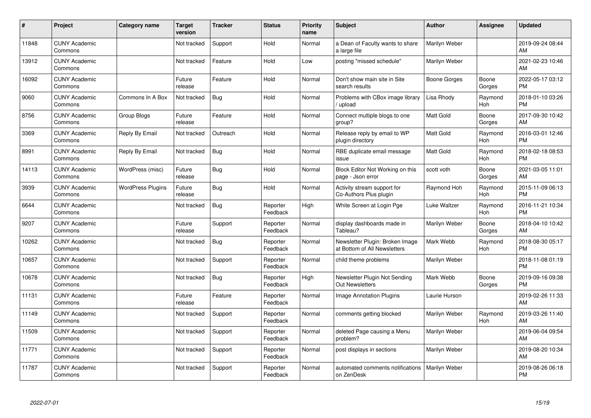| #     | Project                         | <b>Category name</b>     | <b>Target</b><br>version | <b>Tracker</b> | <b>Status</b>        | <b>Priority</b><br>name | <b>Subject</b>                                                  | <b>Author</b>    | <b>Assignee</b> | <b>Updated</b>                |
|-------|---------------------------------|--------------------------|--------------------------|----------------|----------------------|-------------------------|-----------------------------------------------------------------|------------------|-----------------|-------------------------------|
| 11848 | <b>CUNY Academic</b><br>Commons |                          | Not tracked              | Support        | Hold                 | Normal                  | a Dean of Faculty wants to share<br>a large file                | Marilyn Weber    |                 | 2019-09-24 08:44<br>AM        |
| 13912 | <b>CUNY Academic</b><br>Commons |                          | Not tracked              | Feature        | Hold                 | Low                     | posting "missed schedule"                                       | Marilyn Weber    |                 | 2021-02-23 10:46<br>AM        |
| 16092 | <b>CUNY Academic</b><br>Commons |                          | Future<br>release        | Feature        | Hold                 | Normal                  | Don't show main site in Site<br>search results                  | Boone Gorges     | Boone<br>Gorges | 2022-05-17 03:12<br><b>PM</b> |
| 9060  | <b>CUNY Academic</b><br>Commons | Commons In A Box         | Not tracked              | Bug            | Hold                 | Normal                  | Problems with CBox image library<br>upload                      | Lisa Rhody       | Raymond<br>Hoh  | 2018-01-10 03:26<br><b>PM</b> |
| 8756  | <b>CUNY Academic</b><br>Commons | Group Blogs              | Future<br>release        | Feature        | Hold                 | Normal                  | Connect multiple blogs to one<br>group?                         | Matt Gold        | Boone<br>Gorges | 2017-09-30 10:42<br>AM        |
| 3369  | <b>CUNY Academic</b><br>Commons | Reply By Email           | Not tracked              | Outreach       | Hold                 | Normal                  | Release reply by email to WP<br>plugin directory                | <b>Matt Gold</b> | Raymond<br>Hoh  | 2016-03-01 12:46<br><b>PM</b> |
| 8991  | <b>CUNY Academic</b><br>Commons | Reply By Email           | Not tracked              | Bug            | Hold                 | Normal                  | RBE duplicate email message<br>issue                            | Matt Gold        | Raymond<br>Hoh  | 2018-02-18 08:53<br><b>PM</b> |
| 14113 | <b>CUNY Academic</b><br>Commons | WordPress (misc)         | Future<br>release        | Bug            | Hold                 | Normal                  | Block Editor Not Working on this<br>page - Json error           | scott voth       | Boone<br>Gorges | 2021-03-05 11:01<br>AM        |
| 3939  | <b>CUNY Academic</b><br>Commons | <b>WordPress Plugins</b> | Future<br>release        | <b>Bug</b>     | Hold                 | Normal                  | Activity stream support for<br>Co-Authors Plus plugin           | Raymond Hoh      | Raymond<br>Hoh  | 2015-11-09 06:13<br><b>PM</b> |
| 6644  | <b>CUNY Academic</b><br>Commons |                          | Not tracked              | <b>Bug</b>     | Reporter<br>Feedback | High                    | White Screen at Login Pge                                       | Luke Waltzer     | Raymond<br>Hoh  | 2016-11-21 10:34<br>PM        |
| 9207  | <b>CUNY Academic</b><br>Commons |                          | Future<br>release        | Support        | Reporter<br>Feedback | Normal                  | display dashboards made in<br>Tableau?                          | Marilyn Weber    | Boone<br>Gorges | 2018-04-10 10:42<br>AM        |
| 10262 | <b>CUNY Academic</b><br>Commons |                          | Not tracked              | Bug            | Reporter<br>Feedback | Normal                  | Newsletter Plugin: Broken Image<br>at Bottom of All Newsletters | Mark Webb        | Raymond<br>Hoh  | 2018-08-30 05:17<br><b>PM</b> |
| 10657 | <b>CUNY Academic</b><br>Commons |                          | Not tracked              | Support        | Reporter<br>Feedback | Normal                  | child theme problems                                            | Marilyn Weber    |                 | 2018-11-08 01:19<br><b>PM</b> |
| 10678 | <b>CUNY Academic</b><br>Commons |                          | Not tracked              | Bug            | Reporter<br>Feedback | High                    | Newsletter Plugin Not Sending<br><b>Out Newsletters</b>         | Mark Webb        | Boone<br>Gorges | 2019-09-16 09:38<br><b>PM</b> |
| 11131 | <b>CUNY Academic</b><br>Commons |                          | Future<br>release        | Feature        | Reporter<br>Feedback | Normal                  | <b>Image Annotation Plugins</b>                                 | Laurie Hurson    |                 | 2019-02-26 11:33<br>AM        |
| 11149 | <b>CUNY Academic</b><br>Commons |                          | Not tracked              | Support        | Reporter<br>Feedback | Normal                  | comments getting blocked                                        | Marilyn Weber    | Raymond<br>Hoh  | 2019-03-26 11:40<br>AM        |
| 11509 | <b>CUNY Academic</b><br>Commons |                          | Not tracked              | Support        | Reporter<br>Feedback | Normal                  | deleted Page causing a Menu<br>problem?                         | Marilyn Weber    |                 | 2019-06-04 09:54<br><b>AM</b> |
| 11771 | <b>CUNY Academic</b><br>Commons |                          | Not tracked              | Support        | Reporter<br>Feedback | Normal                  | post displays in sections                                       | Marilyn Weber    |                 | 2019-08-20 10:34<br>AM        |
| 11787 | <b>CUNY Academic</b><br>Commons |                          | Not tracked              | Support        | Reporter<br>Feedback | Normal                  | automated comments notifications<br>on ZenDesk                  | Marilyn Weber    |                 | 2019-08-26 06:18<br>PM        |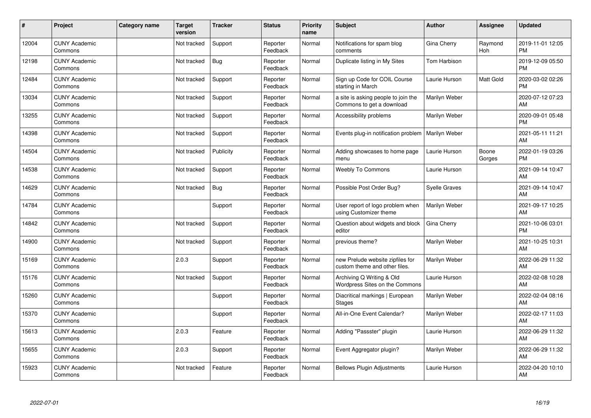| #     | Project                         | <b>Category name</b> | <b>Target</b><br>version | <b>Tracker</b> | <b>Status</b>        | <b>Priority</b><br>name | <b>Subject</b>                                                    | <b>Author</b>        | <b>Assignee</b> | <b>Updated</b>                |
|-------|---------------------------------|----------------------|--------------------------|----------------|----------------------|-------------------------|-------------------------------------------------------------------|----------------------|-----------------|-------------------------------|
| 12004 | <b>CUNY Academic</b><br>Commons |                      | Not tracked              | Support        | Reporter<br>Feedback | Normal                  | Notifications for spam blog<br>comments                           | Gina Cherry          | Raymond<br>Hoh  | 2019-11-01 12:05<br><b>PM</b> |
| 12198 | <b>CUNY Academic</b><br>Commons |                      | Not tracked              | Bug            | Reporter<br>Feedback | Normal                  | Duplicate listing in My Sites                                     | Tom Harbison         |                 | 2019-12-09 05:50<br><b>PM</b> |
| 12484 | <b>CUNY Academic</b><br>Commons |                      | Not tracked              | Support        | Reporter<br>Feedback | Normal                  | Sign up Code for COIL Course<br>starting in March                 | Laurie Hurson        | Matt Gold       | 2020-03-02 02:26<br><b>PM</b> |
| 13034 | <b>CUNY Academic</b><br>Commons |                      | Not tracked              | Support        | Reporter<br>Feedback | Normal                  | a site is asking people to join the<br>Commons to get a download  | Marilyn Weber        |                 | 2020-07-12 07:23<br>AM        |
| 13255 | <b>CUNY Academic</b><br>Commons |                      | Not tracked              | Support        | Reporter<br>Feedback | Normal                  | Accessibility problems                                            | Marilyn Weber        |                 | 2020-09-01 05:48<br><b>PM</b> |
| 14398 | <b>CUNY Academic</b><br>Commons |                      | Not tracked              | Support        | Reporter<br>Feedback | Normal                  | Events plug-in notification problem                               | <b>Marilyn Weber</b> |                 | 2021-05-11 11:21<br>AM        |
| 14504 | <b>CUNY Academic</b><br>Commons |                      | Not tracked              | Publicity      | Reporter<br>Feedback | Normal                  | Adding showcases to home page<br>menu                             | Laurie Hurson        | Boone<br>Gorges | 2022-01-19 03:26<br><b>PM</b> |
| 14538 | <b>CUNY Academic</b><br>Commons |                      | Not tracked              | Support        | Reporter<br>Feedback | Normal                  | <b>Weebly To Commons</b>                                          | Laurie Hurson        |                 | 2021-09-14 10:47<br>AM        |
| 14629 | <b>CUNY Academic</b><br>Commons |                      | Not tracked              | Bug            | Reporter<br>Feedback | Normal                  | Possible Post Order Bug?                                          | <b>Syelle Graves</b> |                 | 2021-09-14 10:47<br>AM        |
| 14784 | <b>CUNY Academic</b><br>Commons |                      |                          | Support        | Reporter<br>Feedback | Normal                  | User report of logo problem when<br>using Customizer theme        | <b>Marilyn Weber</b> |                 | 2021-09-17 10:25<br>AM        |
| 14842 | <b>CUNY Academic</b><br>Commons |                      | Not tracked              | Support        | Reporter<br>Feedback | Normal                  | Question about widgets and block<br>editor                        | Gina Cherry          |                 | 2021-10-06 03:01<br><b>PM</b> |
| 14900 | <b>CUNY Academic</b><br>Commons |                      | Not tracked              | Support        | Reporter<br>Feedback | Normal                  | previous theme?                                                   | Marilyn Weber        |                 | 2021-10-25 10:31<br>AM        |
| 15169 | <b>CUNY Academic</b><br>Commons |                      | 2.0.3                    | Support        | Reporter<br>Feedback | Normal                  | new Prelude website zipfiles for<br>custom theme and other files. | Marilyn Weber        |                 | 2022-06-29 11:32<br>AM        |
| 15176 | <b>CUNY Academic</b><br>Commons |                      | Not tracked              | Support        | Reporter<br>Feedback | Normal                  | Archiving Q Writing & Old<br>Wordpress Sites on the Commons       | Laurie Hurson        |                 | 2022-02-08 10:28<br><b>AM</b> |
| 15260 | <b>CUNY Academic</b><br>Commons |                      |                          | Support        | Reporter<br>Feedback | Normal                  | Diacritical markings   European<br><b>Stages</b>                  | Marilyn Weber        |                 | 2022-02-04 08:16<br><b>AM</b> |
| 15370 | <b>CUNY Academic</b><br>Commons |                      |                          | Support        | Reporter<br>Feedback | Normal                  | All-in-One Event Calendar?                                        | Marilyn Weber        |                 | 2022-02-17 11:03<br>AM        |
| 15613 | <b>CUNY Academic</b><br>Commons |                      | 2.0.3                    | Feature        | Reporter<br>Feedback | Normal                  | Adding "Passster" plugin                                          | Laurie Hurson        |                 | 2022-06-29 11:32<br><b>AM</b> |
| 15655 | <b>CUNY Academic</b><br>Commons |                      | 2.0.3                    | Support        | Reporter<br>Feedback | Normal                  | Event Aggregator plugin?                                          | Marilyn Weber        |                 | 2022-06-29 11:32<br>AM        |
| 15923 | <b>CUNY Academic</b><br>Commons |                      | Not tracked              | Feature        | Reporter<br>Feedback | Normal                  | <b>Bellows Plugin Adjustments</b>                                 | Laurie Hurson        |                 | 2022-04-20 10:10<br>AM        |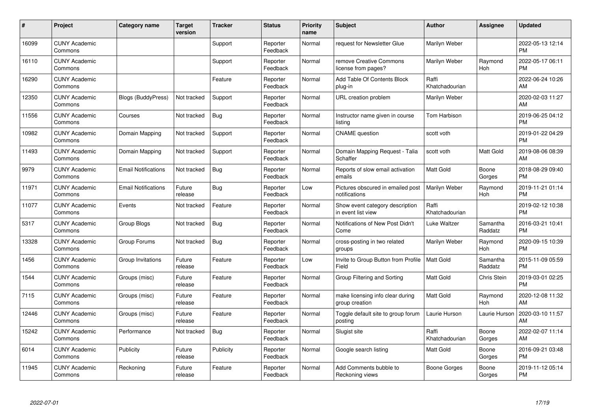| #     | Project                         | <b>Category name</b>       | <b>Target</b><br>version | <b>Tracker</b> | <b>Status</b>        | Priority<br>name | <b>Subject</b>                                        | <b>Author</b>           | <b>Assignee</b>     | <b>Updated</b>                |
|-------|---------------------------------|----------------------------|--------------------------|----------------|----------------------|------------------|-------------------------------------------------------|-------------------------|---------------------|-------------------------------|
| 16099 | <b>CUNY Academic</b><br>Commons |                            |                          | Support        | Reporter<br>Feedback | Normal           | request for Newsletter Glue                           | Marilyn Weber           |                     | 2022-05-13 12:14<br><b>PM</b> |
| 16110 | <b>CUNY Academic</b><br>Commons |                            |                          | Support        | Reporter<br>Feedback | Normal           | remove Creative Commons<br>license from pages?        | Marilyn Weber           | Raymond<br>Hoh      | 2022-05-17 06:11<br><b>PM</b> |
| 16290 | <b>CUNY Academic</b><br>Commons |                            |                          | Feature        | Reporter<br>Feedback | Normal           | Add Table Of Contents Block<br>plug-in                | Raffi<br>Khatchadourian |                     | 2022-06-24 10:26<br>AM        |
| 12350 | <b>CUNY Academic</b><br>Commons | <b>Blogs (BuddyPress)</b>  | Not tracked              | Support        | Reporter<br>Feedback | Normal           | URL creation problem                                  | Marilyn Weber           |                     | 2020-02-03 11:27<br>AM        |
| 11556 | <b>CUNY Academic</b><br>Commons | Courses                    | Not tracked              | <b>Bug</b>     | Reporter<br>Feedback | Normal           | Instructor name given in course<br>listing            | Tom Harbison            |                     | 2019-06-25 04:12<br><b>PM</b> |
| 10982 | <b>CUNY Academic</b><br>Commons | Domain Mapping             | Not tracked              | Support        | Reporter<br>Feedback | Normal           | <b>CNAME</b> question                                 | scott voth              |                     | 2019-01-22 04:29<br><b>PM</b> |
| 11493 | <b>CUNY Academic</b><br>Commons | Domain Mapping             | Not tracked              | Support        | Reporter<br>Feedback | Normal           | Domain Mapping Request - Talia<br>Schaffer            | scott voth              | Matt Gold           | 2019-08-06 08:39<br>AM        |
| 9979  | <b>CUNY Academic</b><br>Commons | <b>Email Notifications</b> | Not tracked              | Bug            | Reporter<br>Feedback | Normal           | Reports of slow email activation<br>emails            | <b>Matt Gold</b>        | Boone<br>Gorges     | 2018-08-29 09:40<br><b>PM</b> |
| 11971 | <b>CUNY Academic</b><br>Commons | <b>Email Notifications</b> | Future<br>release        | Bug            | Reporter<br>Feedback | Low              | Pictures obscured in emailed post<br>notifications    | Marilyn Weber           | Raymond<br>Hoh      | 2019-11-21 01:14<br><b>PM</b> |
| 11077 | <b>CUNY Academic</b><br>Commons | Events                     | Not tracked              | Feature        | Reporter<br>Feedback | Normal           | Show event category description<br>in event list view | Raffi<br>Khatchadourian |                     | 2019-02-12 10:38<br><b>PM</b> |
| 5317  | <b>CUNY Academic</b><br>Commons | Group Blogs                | Not tracked              | <b>Bug</b>     | Reporter<br>Feedback | Normal           | Notifications of New Post Didn't<br>Come              | Luke Waltzer            | Samantha<br>Raddatz | 2016-03-21 10:41<br><b>PM</b> |
| 13328 | <b>CUNY Academic</b><br>Commons | Group Forums               | Not tracked              | Bug            | Reporter<br>Feedback | Normal           | cross-posting in two related<br>groups                | Marilyn Weber           | Raymond<br>Hoh      | 2020-09-15 10:39<br><b>PM</b> |
| 1456  | <b>CUNY Academic</b><br>Commons | Group Invitations          | Future<br>release        | Feature        | Reporter<br>Feedback | Low              | Invite to Group Button from Profile<br>Field          | <b>Matt Gold</b>        | Samantha<br>Raddatz | 2015-11-09 05:59<br><b>PM</b> |
| 1544  | <b>CUNY Academic</b><br>Commons | Groups (misc)              | Future<br>release        | Feature        | Reporter<br>Feedback | Normal           | Group Filtering and Sorting                           | <b>Matt Gold</b>        | Chris Stein         | 2019-03-01 02:25<br><b>PM</b> |
| 7115  | <b>CUNY Academic</b><br>Commons | Groups (misc)              | Future<br>release        | Feature        | Reporter<br>Feedback | Normal           | make licensing info clear during<br>group creation    | <b>Matt Gold</b>        | Raymond<br>Hoh      | 2020-12-08 11:32<br>AM        |
| 12446 | <b>CUNY Academic</b><br>Commons | Groups (misc)              | Future<br>release        | Feature        | Reporter<br>Feedback | Normal           | Toggle default site to group forum<br>posting         | Laurie Hurson           | Laurie Hurson       | 2020-03-10 11:57<br>AM        |
| 15242 | <b>CUNY Academic</b><br>Commons | Performance                | Not tracked              | Bug            | Reporter<br>Feedback | Normal           | Slugist site                                          | Raffi<br>Khatchadourian | Boone<br>Gorges     | 2022-02-07 11:14<br>AM        |
| 6014  | <b>CUNY Academic</b><br>Commons | Publicity                  | Future<br>release        | Publicity      | Reporter<br>Feedback | Normal           | Google search listing                                 | Matt Gold               | Boone<br>Gorges     | 2016-09-21 03:48<br><b>PM</b> |
| 11945 | <b>CUNY Academic</b><br>Commons | Reckoning                  | Future<br>release        | Feature        | Reporter<br>Feedback | Normal           | Add Comments bubble to<br>Reckoning views             | Boone Gorges            | Boone<br>Gorges     | 2019-11-12 05:14<br><b>PM</b> |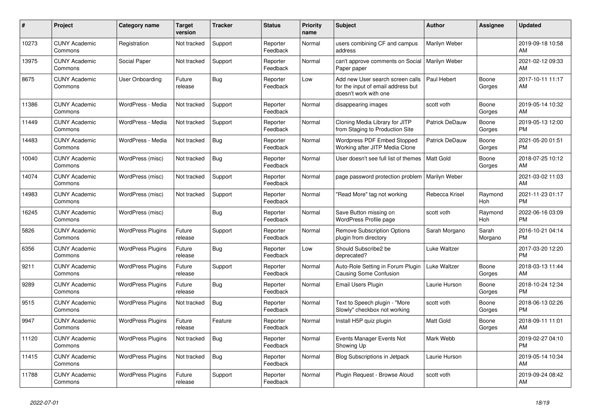| #     | Project                         | <b>Category name</b>     | <b>Target</b><br>version | <b>Tracker</b> | <b>Status</b>        | <b>Priority</b><br>name | <b>Subject</b>                                                                                  | <b>Author</b>         | Assignee         | <b>Updated</b>                |
|-------|---------------------------------|--------------------------|--------------------------|----------------|----------------------|-------------------------|-------------------------------------------------------------------------------------------------|-----------------------|------------------|-------------------------------|
| 10273 | <b>CUNY Academic</b><br>Commons | Registration             | Not tracked              | Support        | Reporter<br>Feedback | Normal                  | users combining CF and campus<br>address                                                        | Marilyn Weber         |                  | 2019-09-18 10:58<br>AM        |
| 13975 | <b>CUNY Academic</b><br>Commons | Social Paper             | Not tracked              | Support        | Reporter<br>Feedback | Normal                  | can't approve comments on Social<br>Paper paper                                                 | Marilyn Weber         |                  | 2021-02-12 09:33<br>AM        |
| 8675  | <b>CUNY Academic</b><br>Commons | User Onboarding          | Future<br>release        | Bug            | Reporter<br>Feedback | Low                     | Add new User search screen calls<br>for the input of email address but<br>doesn't work with one | Paul Hebert           | Boone<br>Gorges  | 2017-10-11 11:17<br>AM        |
| 11386 | <b>CUNY Academic</b><br>Commons | WordPress - Media        | Not tracked              | Support        | Reporter<br>Feedback | Normal                  | disappearing images                                                                             | scott voth            | Boone<br>Gorges  | 2019-05-14 10:32<br>AM        |
| 11449 | <b>CUNY Academic</b><br>Commons | WordPress - Media        | Not tracked              | Support        | Reporter<br>Feedback | Normal                  | Cloning Media Library for JITP<br>from Staging to Production Site                               | <b>Patrick DeDauw</b> | Boone<br>Gorges  | 2019-05-13 12:00<br><b>PM</b> |
| 14483 | <b>CUNY Academic</b><br>Commons | WordPress - Media        | Not tracked              | <b>Bug</b>     | Reporter<br>Feedback | Normal                  | Wordpress PDF Embed Stopped<br>Working after JITP Media Clone                                   | <b>Patrick DeDauw</b> | Boone<br>Gorges  | 2021-05-20 01:51<br><b>PM</b> |
| 10040 | <b>CUNY Academic</b><br>Commons | WordPress (misc)         | Not tracked              | <b>Bug</b>     | Reporter<br>Feedback | Normal                  | User doesn't see full list of themes                                                            | <b>Matt Gold</b>      | Boone<br>Gorges  | 2018-07-25 10:12<br>AM        |
| 14074 | <b>CUNY Academic</b><br>Commons | WordPress (misc)         | Not tracked              | Support        | Reporter<br>Feedback | Normal                  | page password protection problem                                                                | Marilyn Weber         |                  | 2021-03-02 11:03<br>AM        |
| 14983 | <b>CUNY Academic</b><br>Commons | WordPress (misc)         | Not tracked              | Support        | Reporter<br>Feedback | Normal                  | "Read More" tag not working                                                                     | Rebecca Krisel        | Raymond<br>Hoh   | 2021-11-23 01:17<br><b>PM</b> |
| 16245 | <b>CUNY Academic</b><br>Commons | WordPress (misc)         |                          | <b>Bug</b>     | Reporter<br>Feedback | Normal                  | Save Button missing on<br>WordPress Profile page                                                | scott voth            | Raymond<br>Hoh   | 2022-06-16 03:09<br><b>PM</b> |
| 5826  | <b>CUNY Academic</b><br>Commons | <b>WordPress Plugins</b> | Future<br>release        | Support        | Reporter<br>Feedback | Normal                  | <b>Remove Subscription Options</b><br>plugin from directory                                     | Sarah Morgano         | Sarah<br>Morgano | 2016-10-21 04:14<br><b>PM</b> |
| 6356  | <b>CUNY Academic</b><br>Commons | <b>WordPress Plugins</b> | Future<br>release        | Bug            | Reporter<br>Feedback | Low                     | Should Subscribe2 be<br>deprecated?                                                             | Luke Waltzer          |                  | 2017-03-20 12:20<br><b>PM</b> |
| 9211  | <b>CUNY Academic</b><br>Commons | <b>WordPress Plugins</b> | Future<br>release        | Support        | Reporter<br>Feedback | Normal                  | Auto-Role Setting in Forum Plugin<br><b>Causing Some Confusion</b>                              | Luke Waltzer          | Boone<br>Gorges  | 2018-03-13 11:44<br>AM        |
| 9289  | <b>CUNY Academic</b><br>Commons | <b>WordPress Plugins</b> | Future<br>release        | Bug            | Reporter<br>Feedback | Normal                  | Email Users Plugin                                                                              | Laurie Hurson         | Boone<br>Gorges  | 2018-10-24 12:34<br><b>PM</b> |
| 9515  | <b>CUNY Academic</b><br>Commons | <b>WordPress Plugins</b> | Not tracked              | Bug            | Reporter<br>Feedback | Normal                  | Text to Speech plugin - "More<br>Slowly" checkbox not working                                   | scott voth            | Boone<br>Gorges  | 2018-06-13 02:26<br><b>PM</b> |
| 9947  | <b>CUNY Academic</b><br>Commons | <b>WordPress Plugins</b> | Future<br>release        | Feature        | Reporter<br>Feedback | Normal                  | Install H5P quiz plugin                                                                         | <b>Matt Gold</b>      | Boone<br>Gorges  | 2018-09-11 11:01<br>AM        |
| 11120 | <b>CUNY Academic</b><br>Commons | <b>WordPress Plugins</b> | Not tracked              | Bug            | Reporter<br>Feedback | Normal                  | Events Manager Events Not<br>Showing Up                                                         | Mark Webb             |                  | 2019-02-27 04:10<br><b>PM</b> |
| 11415 | <b>CUNY Academic</b><br>Commons | <b>WordPress Plugins</b> | Not tracked              | Bug            | Reporter<br>Feedback | Normal                  | <b>Blog Subscriptions in Jetpack</b>                                                            | Laurie Hurson         |                  | 2019-05-14 10:34<br>AM        |
| 11788 | <b>CUNY Academic</b><br>Commons | <b>WordPress Plugins</b> | Future<br>release        | Support        | Reporter<br>Feedback | Normal                  | Plugin Request - Browse Aloud                                                                   | scott voth            |                  | 2019-09-24 08:42<br>AM        |